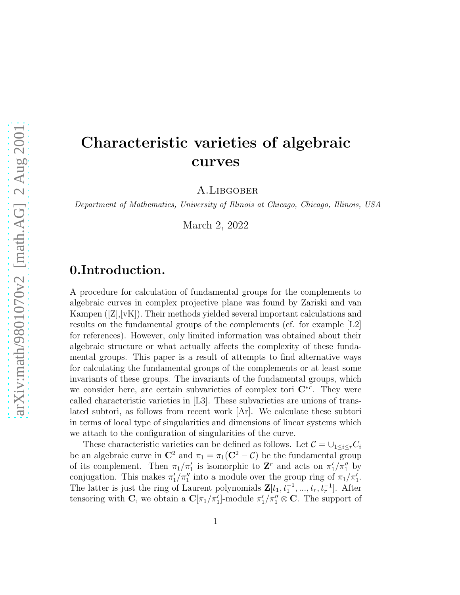# Characteristic varieties of algebraic curves

A.Libgober

Department of Mathematics, University of Illinois at Chicago, Chicago, Illinois, USA

March 2, 2022

# 0.Introduction.

A procedure for calculation of fundamental groups for the complements to algebraic curves in complex projective plane was found by Zariski and van Kampen  $([Z],[vK])$ . Their methods yielded several important calculations and results on the fundamental groups of the complements (cf. for example [L2] for references). However, only limited information was obtained about their algebraic structure or what actually affects the complexity of these fundamental groups. This paper is a result of attempts to find alternative ways for calculating the fundamental groups of the complements or at least some invariants of these groups. The invariants of the fundamental groups, which we consider here, are certain subvarieties of complex tori  $\mathbb{C}^{*r}$ . They were called characteristic varieties in [L3]. These subvarieties are unions of translated subtori, as follows from recent work [Ar]. We calculate these subtori in terms of local type of singularities and dimensions of linear systems which we attach to the configuration of singularities of the curve.

These characteristic varieties can be defined as follows. Let  $\mathcal{C} = \bigcup_{1 \leq i \leq r} C_i$ be an algebraic curve in  $\mathbb{C}^2$  and  $\pi_1 = \pi_1(\mathbb{C}^2 - \mathcal{C})$  be the fundamental group of its complement. Then  $\pi_1/\pi_1'$  is isomorphic to  $\mathbf{Z}^r$  and acts on  $\pi_1'/\pi_1''$  by conjugation. This makes  $\pi'_1/\pi''_1$  into a module over the group ring of  $\pi_1/\pi'_1$ . The latter is just the ring of Laurent polynomials  $\mathbf{Z}[t_1, t_1^{-1}, ..., t_r, t_r^{-1}]$ . After tensoring with C, we obtain a  $C[\pi_1/\pi_1']$ -module  $\pi_1'/\pi_1'' \otimes C$ . The support of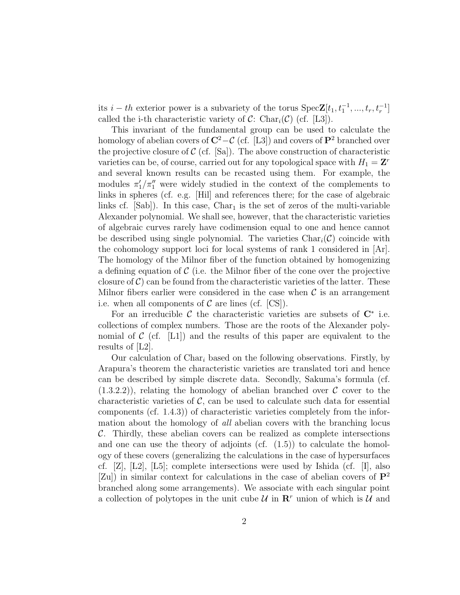its  $i - th$  exterior power is a subvariety of the torus SpecZ[ $t_1, t_1^{-1}, ..., t_r, t_r^{-1}$ ] called the i-th characteristic variety of C: Char<sub>i</sub>(C) (cf. [L3]).

This invariant of the fundamental group can be used to calculate the homology of abelian covers of  $\mathbb{C}^2-\mathcal{C}$  (cf. [L3]) and covers of  $\mathbb{P}^2$  branched over the projective closure of  $\mathcal{C}$  (cf. [Sa]). The above construction of characteristic varieties can be, of course, carried out for any topological space with  $H_1 = \mathbf{Z}^r$ and several known results can be recasted using them. For example, the modules  $\pi'_1/\pi''_1$  were widely studied in the context of the complements to links in spheres (cf. e.g. [Hil] and references there; for the case of algebraic links cf.  $[Sab]$ ). In this case, Char<sub>1</sub> is the set of zeros of the multi-variable Alexander polynomial. We shall see, however, that the characteristic varieties of algebraic curves rarely have codimension equal to one and hence cannot be described using single polynomial. The varieties  $Char_i(\mathcal{C})$  coincide with the cohomology support loci for local systems of rank 1 considered in [Ar]. The homology of the Milnor fiber of the function obtained by homogenizing a defining equation of  $\mathcal C$  (i.e. the Milnor fiber of the cone over the projective closure of  $\mathcal{C}$ ) can be found from the characteristic varieties of the latter. These Milnor fibers earlier were considered in the case when  $\mathcal C$  is an arrangement i.e. when all components of  $\mathcal C$  are lines (cf.  $|CS|$ ).

For an irreducible  $\mathcal C$  the characteristic varieties are subsets of  $\mathbb C^*$  i.e. collections of complex numbers. Those are the roots of the Alexander polynomial of  $\mathcal{C}$  (cf. [L1]) and the results of this paper are equivalent to the results of [L2].

Our calculation of  $Char_i$  based on the following observations. Firstly, by Arapura's theorem the characteristic varieties are translated tori and hence can be described by simple discrete data. Secondly, Sakuma's formula (cf.  $(1.3.2.2)$ , relating the homology of abelian branched over C cover to the characteristic varieties of  $\mathcal{C}$ , can be used to calculate such data for essential components (cf. 1.4.3)) of characteristic varieties completely from the information about the homology of all abelian covers with the branching locus C. Thirdly, these abelian covers can be realized as complete intersections and one can use the theory of adjoints (cf.  $(1.5)$ ) to calculate the homology of these covers (generalizing the calculations in the case of hypersurfaces cf. [Z], [L2], [L5]; complete intersections were used by Ishida (cf. [I], also [Zu]) in similar context for calculations in the case of abelian covers of  $\mathbf{P}^2$ branched along some arrangements). We associate with each singular point a collection of polytopes in the unit cube  $\mathcal U$  in  $\mathbb R^r$  union of which is  $\mathcal U$  and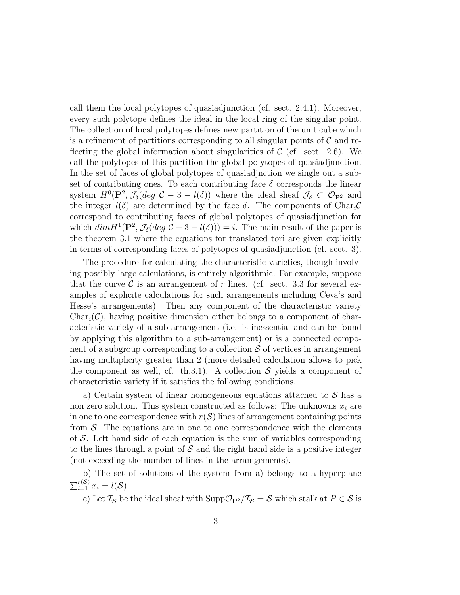call them the local polytopes of quasiadjunction (cf. sect. 2.4.1). Moreover, every such polytope defines the ideal in the local ring of the singular point. The collection of local polytopes defines new partition of the unit cube which is a refinement of partitions corresponding to all singular points of  $\mathcal C$  and reflecting the global information about singularities of  $\mathcal{C}$  (cf. sect. 2.6). We call the polytopes of this partition the global polytopes of quasiadjunction. In the set of faces of global polytopes of quasiadjnction we single out a subset of contributing ones. To each contributing face  $\delta$  corresponds the linear system  $H^0(\mathbf{P}^2, \mathcal{J}_{\delta}(deg \mathcal{C} - 3 - l(\delta))$  where the ideal sheaf  $\mathcal{J}_{\delta} \subset \mathcal{O}_{\mathbf{P}^2}$  and the integer  $l(\delta)$  are determined by the face  $\delta$ . The components of Char<sub>i</sub>C correspond to contributing faces of global polytopes of quasiadjunction for which  $dim H^{1}(\mathbf{P}^{2}, \mathcal{J}_{\delta}(deg \mathcal{C} - 3 - l(\delta))) = i$ . The main result of the paper is the theorem 3.1 where the equations for translated tori are given explicitly in terms of corresponding faces of polytopes of quasiadjunction (cf. sect. 3).

The procedure for calculating the characteristic varieties, though involving possibly large calculations, is entirely algorithmic. For example, suppose that the curve  $\mathcal C$  is an arrangement of r lines. (cf. sect. 3.3 for several examples of explicite calculations for such arrangements including Ceva's and Hesse's arrangements). Then any component of the characteristic variety  $Char_i(\mathcal{C})$ , having positive dimension either belongs to a component of characteristic variety of a sub-arrangement (i.e. is inessential and can be found by applying this algorithm to a sub-arrangement) or is a connected component of a subgroup corresponding to a collection  $S$  of vertices in arrangement having multiplicity greater than 2 (more detailed calculation allows to pick the component as well, cf. th.3.1). A collection  $S$  yields a component of characteristic variety if it satisfies the following conditions.

a) Certain system of linear homogeneous equations attached to  $S$  has a non zero solution. This system constructed as follows: The unknowns  $x_i$  are in one to one correspondence with  $r(S)$  lines of arrangement containing points from  $S$ . The equations are in one to one correspondence with the elements of  $S$ . Left hand side of each equation is the sum of variables corresponding to the lines through a point of  $\mathcal S$  and the right hand side is a positive integer (not exceeding the number of lines in the arramgements).

b) The set of solutions of the system from a) belongs to a hyperplane  $\sum_{i=1}^{r(\mathcal{S})} x_i = l(\mathcal{S}).$ 

c) Let  $\mathcal{I_S}$  be the ideal sheaf with  $\mathrm{Supp}\mathcal{O}_{{\bf P}^2}/\mathcal{I_S}=\mathcal{S}$  which stalk at  $P\in\mathcal{S}$  is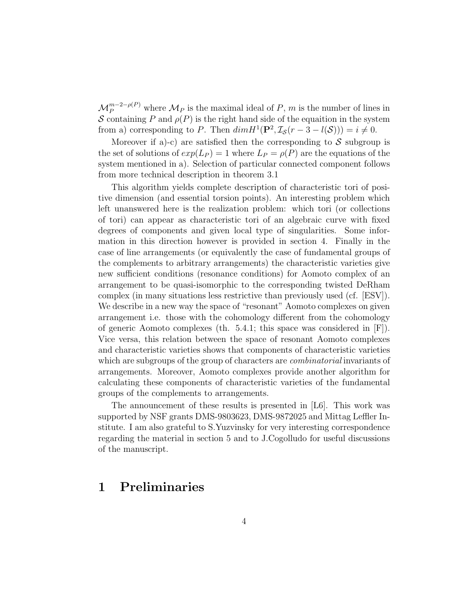$\mathcal{M}_P^{m-2-\rho(P)}$  where  $\mathcal{M}_P$  is the maximal ideal of P, m is the number of lines in S containing P and  $\rho(P)$  is the right hand side of the equaition in the system from a) corresponding to P. Then  $dim H^1(\mathbf{P}^2, \mathcal{I}_{\mathcal{S}}(r-3-l(\mathcal{S}))) = i \neq 0$ .

Moreover if a)-c) are satisfied then the corresponding to  $S$  subgroup is the set of solutions of  $exp(L_P) = 1$  where  $L_P = \rho(P)$  are the equations of the system mentioned in a). Selection of particular connected component follows from more technical description in theorem 3.1

This algorithm yields complete description of characteristic tori of positive dimension (and essential torsion points). An interesting problem which left unanswered here is the realization problem: which tori (or collections of tori) can appear as characteristic tori of an algebraic curve with fixed degrees of components and given local type of singularities. Some information in this direction however is provided in section 4. Finally in the case of line arrangements (or equivalently the case of fundamental groups of the complements to arbitrary arrangements) the characteristic varieties give new sufficient conditions (resonance conditions) for Aomoto complex of an arrangement to be quasi-isomorphic to the corresponding twisted DeRham complex (in many situations less restrictive than previously used (cf. [ESV]). We describe in a new way the space of "resonant" Aomoto complexes on given arrangement i.e. those with the cohomology different from the cohomology of generic Aomoto complexes (th. 5.4.1; this space was considered in [F]). Vice versa, this relation between the space of resonant Aomoto complexes and characteristic varieties shows that components of characteristic varieties which are subgroups of the group of characters are *combinatorial* invariants of arrangements. Moreover, Aomoto complexes provide another algorithm for calculating these components of characteristic varieties of the fundamental groups of the complements to arrangements.

The announcement of these results is presented in [L6]. This work was supported by NSF grants DMS-9803623, DMS-9872025 and Mittag Leffler Institute. I am also grateful to S.Yuzvinsky for very interesting correspondence regarding the material in section 5 and to J.Cogolludo for useful discussions of the manuscript.

# 1 Preliminaries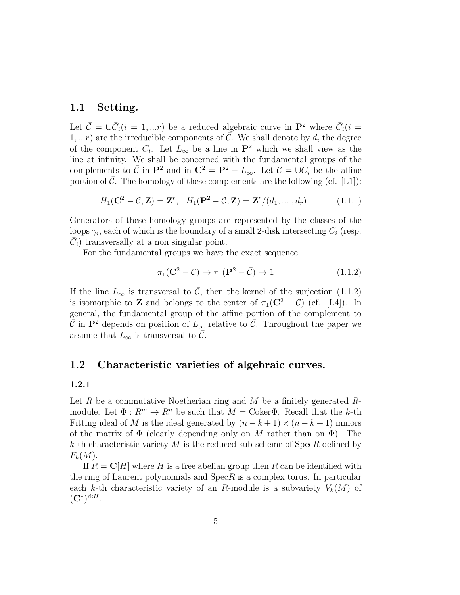# 1.1 Setting.

Let  $\bar{\mathcal{C}} = \cup \bar{C}_i (i = 1, ... r)$  be a reduced algebraic curve in  $\mathbf{P}^2$  where  $\bar{C}_i (i =$ 1, ...r) are the irreducible components of  $\overline{C}$ . We shall denote by  $d_i$  the degree of the component  $\bar{C}_i$ . Let  $L_{\infty}$  be a line in  $\mathbf{P}^2$  which we shall view as the line at infinity. We shall be concerned with the fundamental groups of the complements to  $\bar{\mathcal{C}}$  in  $\mathbf{P}^2$  and in  $\mathbf{C}^2 = \mathbf{P}^2 - L_{\infty}$ . Let  $\mathcal{C} = \cup C_i$  be the affine portion of  $\overline{C}$ . The homology of these complements are the following (cf. [L1]):

$$
H_1(\mathbf{C}^2 - C, \mathbf{Z}) = \mathbf{Z}^r, \quad H_1(\mathbf{P}^2 - \bar{C}, \mathbf{Z}) = \mathbf{Z}^r/(d_1, ..., d_r)
$$
(1.1.1)

Generators of these homology groups are represented by the classes of the loops  $\gamma_i$ , each of which is the boundary of a small 2-disk intersecting  $C_i$  (resp.  $\bar{C}_i$ ) transversally at a non singular point.

For the fundamental groups we have the exact sequence:

$$
\pi_1(\mathbf{C}^2 - \mathcal{C}) \to \pi_1(\mathbf{P}^2 - \bar{\mathcal{C}}) \to 1 \tag{1.1.2}
$$

If the line  $L_{\infty}$  is transversal to  $\bar{\mathcal{C}}$ , then the kernel of the surjection (1.1.2) is isomorphic to **Z** and belongs to the center of  $\pi_1(\mathbb{C}^2 - \mathcal{C})$  (cf. [L4]). In general, the fundamental group of the affine portion of the complement to  $\overline{\tilde{\mathcal{C}}}$  in  $\mathbf{P}^2$  depends on position of  $L_{\infty}$  relative to  $\overline{\tilde{\mathcal{C}}}$ . Throughout the paper we assume that  $L_{\infty}$  is transversal to  $\overline{C}$ .

### 1.2 Characteristic varieties of algebraic curves.

### 1.2.1

Let R be a commutative Noetherian ring and M be a finitely generated  $R$ module. Let  $\Phi: R^m \to R^n$  be such that  $M = \text{Coker}\Phi$ . Recall that the k-th Fitting ideal of M is the ideal generated by  $(n - k + 1) \times (n - k + 1)$  minors of the matrix of  $\Phi$  (clearly depending only on M rather than on  $\Phi$ ). The k-th characteristic variety M is the reduced sub-scheme of  $Spec R$  defined by  $F_k(M)$ .

If  $R = \mathbb{C}[H]$  where H is a free abelian group then R can be identified with the ring of Laurent polynomials and  $Spec R$  is a complex torus. In particular each k-th characteristic variety of an R-module is a subvariety  $V_k(M)$  of  $(\mathbf{C}^*)^{\text{rk}H}.$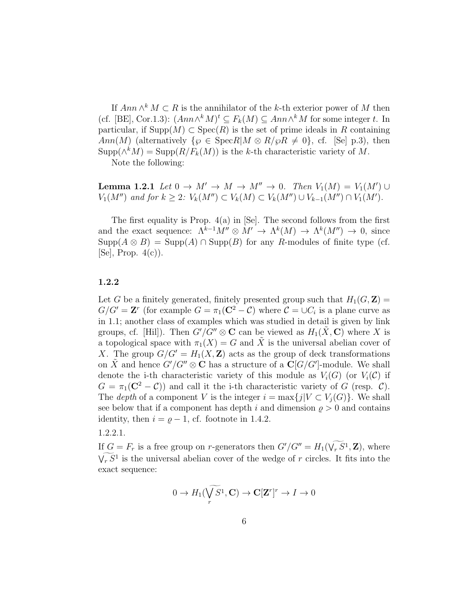If  $Ann \wedge^k M \subset R$  is the annihilator of the k-th exterior power of M then (cf. [BE], Cor.1.3):  $(Ann \wedge^k M)^t \subseteq F_k(M) \subseteq Ann \wedge^k M$  for some integer t. In particular, if  $\text{Supp}(M) \subset \text{Spec}(R)$  is the set of prime ideals in R containing Ann(M) (alternatively  $\{\varphi \in \text{Spec } R | M \otimes R / \varphi R \neq 0\}$ , cf. [Se] p.3), then  $\text{Supp}(\wedge^k M) = \text{Supp}(R/F_k(M))$  is the k-th characteristic variety of M.

Note the following:

**Lemma 1.2.1** Let  $0 \to M' \to M \to M'' \to 0$ . Then  $V_1(M) = V_1(M') \cup$  $V_1(M'')$  and for  $k \geq 2$ :  $V_k(M'') \subset V_k(M) \subset V_k(M'') \cup V_{k-1}(M'') \cap V_1(M')$ .

The first equality is Prop.  $4(a)$  in [Se]. The second follows from the first and the exact sequence:  $\Lambda^{k-1}M'' \otimes M' \to \Lambda^k(M) \to \Lambda^k(M'') \to 0$ , since  $\text{Supp}(A \otimes B) = \text{Supp}(A) \cap \text{Supp}(B)$  for any R-modules of finite type (cf.  $[Se]$ , Prop.  $4(c)$ ).

#### 1.2.2

Let G be a finitely generated, finitely presented group such that  $H_1(G, \mathbf{Z}) =$  $G/G' = \mathbf{Z}^r$  (for example  $G = \pi_1(\mathbf{C}^2 - C)$ ) where  $C = \cup C_i$  is a plane curve as in 1.1; another class of examples which was studied in detail is given by link groups, cf. [Hil]). Then  $G'/G'' \otimes \mathbf{C}$  can be viewed as  $H_1(\tilde{X}, \mathbf{C})$  where X is a topological space with  $\pi_1(X) = G$  and X is the universal abelian cover of X. The group  $G/G' = H_1(X, \mathbf{Z})$  acts as the group of deck transformations on  $\tilde{X}$  and hence  $G'/G'' \otimes \mathbf{C}$  has a structure of a  $\mathbf{C}[G/G']$ -module. We shall denote the i-th characteristic variety of this module as  $V_i(G)$  (or  $V_i(\mathcal{C})$ ) if  $G = \pi_1(\mathbf{C}^2 - \mathcal{C})$  and call it the i-th characteristic variety of G (resp. C). The depth of a component V is the integer  $i = \max\{j | V \subset V_i(G)\}\)$ . We shall see below that if a component has depth i and dimension  $\rho > 0$  and contains identity, then  $i = \rho - 1$ , cf. footnote in 1.4.2.

1.2.2.1.

If  $G = F_r$  is a free group on r-generators then  $G'/G'' = H_1(\widetilde{V_r S^1}, \mathbf{Z})$ , where  $\widetilde{\mathcal{N}_r S^1}$  is the universal abelian cover of the wedge of r circles. It fits into the exact sequence:

$$
0 \to H_1(\underset{r}{\bigvee}\widetilde{S}^1,{\bf C}) \to {\bf C}[{\bf Z}^r]^r \to I \to 0
$$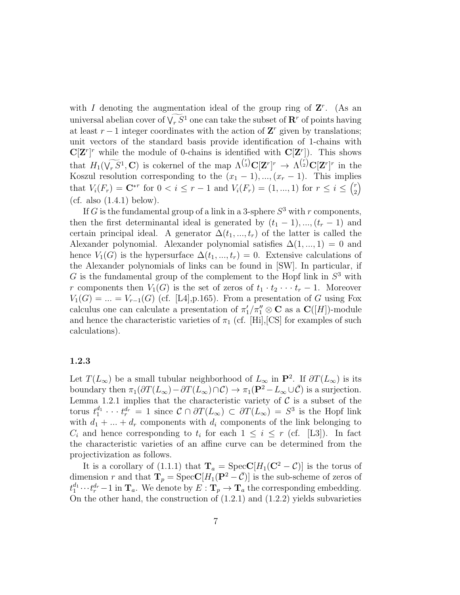with I denoting the augmentation ideal of the group ring of  $\mathbf{Z}^r$ . (As an universal abelian cover of  $\widetilde{\sqrt{g}}$  one can take the subset of  $\mathbb{R}^r$  of points having at least  $r - 1$  integer coordinates with the action of  $\mathbf{Z}^r$  given by translations; unit vectors of the standard basis provide identification of 1-chains with  $\mathbf{C}[\mathbf{Z}^r]^r$  while the module of 0-chains is identified with  $\mathbf{C}[\mathbf{Z}^r]$ . This shows that  $H_1(\widetilde{\mathsf{Var}} S^1, \mathbf{C})$  is cokernel of the map  $\Lambda^{r \choose 3} \mathbf{C} [\mathbf{Z}^r]^r \to \Lambda^{r \choose 2} \mathbf{C} [\mathbf{Z}^r]^r$  in the Koszul resolution corresponding to the  $(x_1 - 1), ..., (x_r - 1)$ . This implies that  $V_i(F_r) = \mathbf{C}^{*r}$  for  $0 < i \leq r - 1$  and  $V_i(F_r) = (1, ..., 1)$  for  $r \leq i \leq {r \choose 2}$ 2  $\overline{ }$ (cf. also  $(1.4.1)$  below).

If G is the fundamental group of a link in a 3-sphere  $S^3$  with r components, then the first determinantal ideal is generated by  $(t_1 - 1), ..., (t_r - 1)$  and certain principal ideal. A generator  $\Delta(t_1, ..., t_r)$  of the latter is called the Alexander polynomial. Alexander polynomial satisfies  $\Delta(1, ..., 1) = 0$  and hence  $V_1(G)$  is the hypersurface  $\Delta(t_1, ..., t_r) = 0$ . Extensive calculations of the Alexander polynomials of links can be found in [SW]. In particular, if G is the fundamental group of the complement to the Hopf link in  $S^3$  with r components then  $V_1(G)$  is the set of zeros of  $t_1 \cdot t_2 \cdots t_r - 1$ . Moreover  $V_1(G) = ... = V_{r-1}(G)$  (cf. [L4], p.165). From a presentation of G using Fox calculus one can calculate a presentation of  $\pi'_1/\pi''_1 \otimes \mathbf{C}$  as a  $\mathbf{C}([H])$ -module and hence the characteristic varieties of  $\pi_1$  (cf. [Hi], [CS] for examples of such calculations).

#### 1.2.3

Let  $T(L_{\infty})$  be a small tubular neighborhood of  $L_{\infty}$  in  $\mathbf{P}^2$ . If  $\partial T(L_{\infty})$  is its boundary then  $\pi_1(\partial T(L_\infty)-\partial T(L_\infty)\cap \mathcal{C})\to \pi_1(\mathbf{P}^2-L_\infty\cup \overline{\mathcal{C}})$  is a surjection. Lemma 1.2.1 implies that the characteristic variety of  $\mathcal C$  is a subset of the torus  $t_1^{d_1} \cdots t_r^{d_r} = 1$  since  $\mathcal{C} \cap \partial T(L_\infty) \subset \partial T(L_\infty) = S^3$  is the Hopf link with  $d_1 + \ldots + d_r$  components with  $d_i$  components of the link belonging to  $C_i$  and hence corresponding to  $t_i$  for each  $1 \leq i \leq r$  (cf. [L3]). In fact the characteristic varieties of an affine curve can be determined from the projectivization as follows.

It is a corollary of (1.1.1) that  $\mathbf{T}_a = \text{Spec} \mathbf{C}[H_1(\mathbf{C}^2 - \mathcal{C})]$  is the torus of dimension r and that  $\mathbf{T}_p = \text{Spec} \mathbf{C}[H_1(\mathbf{P}^2 - \bar{\mathcal{C}})]$  is the sub-scheme of zeros of  $t_1^{d_1} \cdots t_r^{d_r} - 1$  in  $\mathbf{T}_a$ . We denote by  $E: \mathbf{T}_p \to \mathbf{T}_a$  the corresponding embedding. On the other hand, the construction of  $(1.2.1)$  and  $(1.2.2)$  yields subvarieties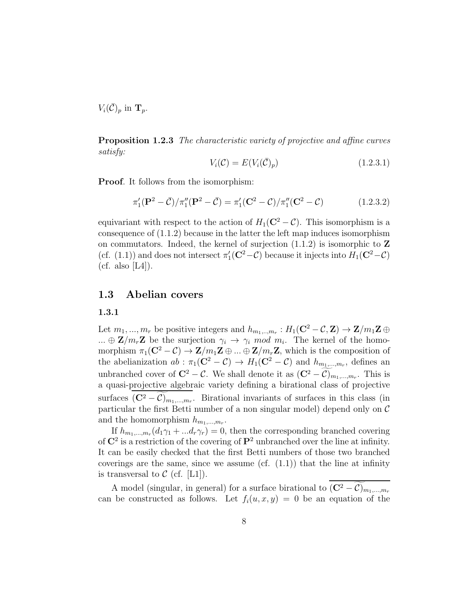$V_i(\bar{\mathcal{C}})_p$  in  $\mathbf{T}_p$ .

**Proposition 1.2.3** The characteristic variety of projective and affine curves satisfy:

$$
V_i(\mathcal{C}) = E(V_i(\bar{\mathcal{C}})_p)
$$
\n(1.2.3.1)

Proof. It follows from the isomorphism:

$$
\pi_1'(\mathbf{P}^2 - \bar{\mathcal{C}}) / \pi_1''(\mathbf{P}^2 - \bar{\mathcal{C}}) = \pi_1'(\mathbf{C}^2 - \mathcal{C}) / \pi_1''(\mathbf{C}^2 - \mathcal{C})
$$
\n(1.2.3.2)

equivariant with respect to the action of  $H_1(\mathbb{C}^2 - \mathcal{C})$ . This isomorphism is a consequence of  $(1.1.2)$  because in the latter the left map induces isomorphism on commutators. Indeed, the kernel of surjection  $(1.1.2)$  is isomorphic to **Z** (cf. (1.1)) and does not intersect  $\pi'_1(\mathbf{C}^2-\mathcal{C})$  because it injects into  $H_1(\mathbf{C}^2-\mathcal{C})$  $(cf. also [L4]).$ 

# 1.3 Abelian covers

#### 1.3.1

Let  $m_1, ..., m_r$  be positive integers and  $h_{m_1, ..., m_r}: H_1(\mathbf{C}^2 - \mathcal{C}, \mathbf{Z}) \to \mathbf{Z}/m_1\mathbf{Z} \oplus$  $\ldots \oplus \mathbf{Z}/m_r\mathbf{Z}$  be the surjection  $\gamma_i \to \gamma_i \mod m_i$ . The kernel of the homomorphism  $\pi_1(\mathbf{C}^2-\mathcal{C}) \to \mathbf{Z}/m_1\mathbf{Z} \oplus ... \oplus \mathbf{Z}/m_r\mathbf{Z}$ , which is the composition of the abelianization  $ab : \pi_1(\mathbf{C}^2 - \mathcal{C}) \to H_1(\mathbf{C}^2 - \mathcal{C})$  and  $h_{m_1,...,m_r}$ , defines an unbranched cover of  $\mathbb{C}^2 - \mathcal{C}$ . We shall denote it as  $(\mathbb{C}^2 - \mathcal{C})_{m_1,\dots,m_r}$ . This is a quasi-projective algebraic variety defining a birational class of projective surfaces  $(\mathbf{C}^2 - \mathcal{C})_{m_1,...,m_r}$ . Birational invariants of surfaces in this class (in particular the first Betti number of a non singular model) depend only on  $\mathcal C$ and the homomorphism  $h_{m_1,...,m_r}$ .

If  $h_{m_1,...,m_r}(d_1\gamma_1+...d_r\gamma_r)=0$ , then the corresponding branched covering of  $\mathbb{C}^2$  is a restriction of the covering of  $\mathbb{P}^2$  unbranched over the line at infinity. It can be easily checked that the first Betti numbers of those two branched coverings are the same, since we assume (cf.  $(1.1)$ ) that the line at infinity is transversal to  $\mathcal{C}$  (cf. [L1]).

A model (singular, in general) for a surface birational to  $(\mathbf{C}^2 - \widetilde{\mathcal{C}})_{m_1,...,m_r}$ can be constructed as follows. Let  $f_i(u, x, y) = 0$  be an equation of the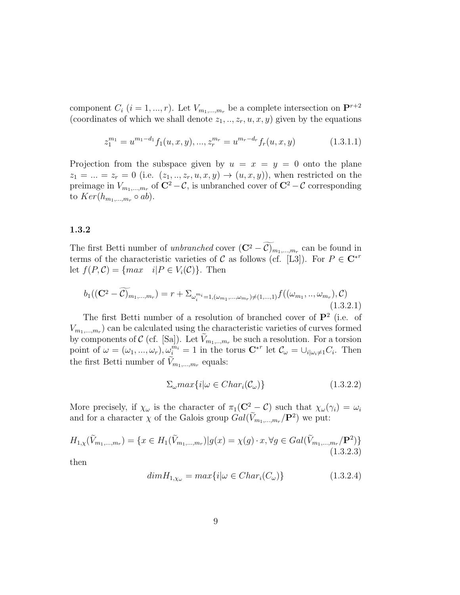component  $C_i$   $(i = 1, ..., r)$ . Let  $V_{m_1,...,m_r}$  be a complete intersection on  $\mathbf{P}^{r+2}$ (coordinates of which we shall denote  $z_1, \ldots, z_r, u, x, y$ ) given by the equations

$$
z_1^{m_1} = u^{m_1 - d_1} f_1(u, x, y), \dots, z_r^{m_r} = u^{m_r - d_r} f_r(u, x, y) \tag{1.3.1.1}
$$

Projection from the subspace given by  $u = x = y = 0$  onto the plane  $z_1 = ... = z_r = 0$  (i.e.  $(z_1, ..., z_r, u, x, y) \rightarrow (u, x, y)$ ), when restricted on the preimage in  $V_{m_1,...,m_r}$  of  $\mathbb{C}^2-\mathcal{C}$ , is unbranched cover of  $\mathbb{C}^2-\mathcal{C}$  corresponding to  $Ker(h_{m_1,...,m_r} \circ ab)$ .

#### 1.3.2

The first Betti number of unbranched cover  $(\mathbf{C}^2 - \mathcal{C})_{m_1,\dots,m_r}$  can be found in terms of the characteristic varieties of C as follows (cf. [L3]). For  $P \in \mathbb{C}^{*r}$ let  $f(P, C) = \{max \ i | P \in V_i(C) \}.$  Then

$$
b_1((\mathbf{C}^2 - \widetilde{\mathcal{C}})_{m_1,\dots,m_r}) = r + \sum_{\omega_i^{m_i} = 1,(\omega_{m_1},\dots,\omega_{m_r}) \neq (1,\dots,1)} f((\omega_{m_1},\dots,\omega_{m_r}), \mathcal{C})
$$
\n(1.3.2.1)

The first Betti number of a resolution of branched cover of  $\mathbf{P}^2$  (i.e. of  $V_{m_1,...,m_r}$  can be calculated using the characteristic varieties of curves formed by components of C (cf. [Sa]). Let  $V_{m_1,...,m_r}$  be such a resolution. For a torsion point of  $\omega = (\omega_1, ..., \omega_r), \omega_i^{m_i} = 1$  in the torus  $\mathbf{C}^{*r}$  let  $\mathcal{C}_{\omega} = \cup_{i | \omega_i \neq 1} C_i$ . Then the first Betti number of  $V_{m_1,\dots,m_r}$  equals:

$$
\Sigma_{\omega} \max \{ i | \omega \in Char_i(\mathcal{C}_{\omega}) \}
$$
\n(1.3.2.2)

More precisely, if  $\chi_{\omega}$  is the character of  $\pi_1(\mathbf{C}^2 - \mathcal{C})$  such that  $\chi_{\omega}(\gamma_i) = \omega_i$ and for a character  $\chi$  of the Galois group  $Gal(\tilde{V}_{m_1,...,m_r}/\mathbf{P}^2)$  we put:

$$
H_{1,\chi}(\tilde{V}_{m_1,\dots,m_r}) = \{x \in H_1(\tilde{V}_{m_1,\dots,m_r}) | g(x) = \chi(g) \cdot x, \forall g \in Gal(\tilde{V}_{m_1,\dots,m_r}/\mathbf{P}^2) \}
$$
(1.3.2.3)

then

$$
dim H_{1,\chi_{\omega}} = max\{i|\omega \in Char_i(C_{\omega})\}
$$
\n(1.3.2.4)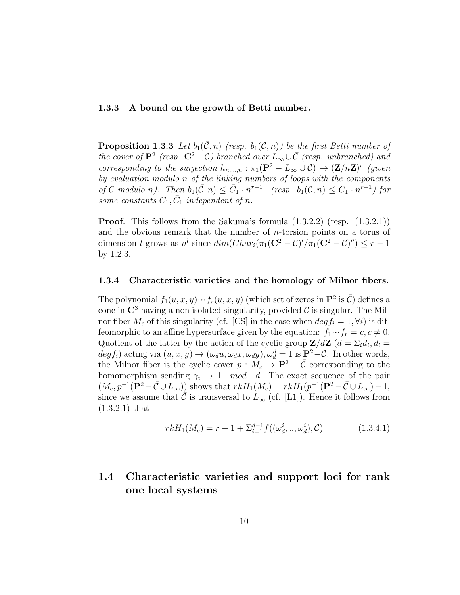#### 1.3.3 A bound on the growth of Betti number.

**Proposition 1.3.3** Let  $b_1(\bar{\mathcal{C}}, n)$  (resp.  $b_1(\mathcal{C}, n)$ ) be the first Betti number of the cover of  $\mathbf{P}^2$  (resp.  $\mathbf{C}^2-\mathcal{C}$ ) branched over  $\tilde{L}_{\infty}\cup\bar{\mathcal{C}}$  (resp. unbranched) and corresponding to the surjection  $h_{n,\dots,n} : \pi_1(\mathbf{P}^2 - L_{\infty} \cup \overline{C}) \to (\mathbf{Z}/n\mathbf{Z})^r$  (given by evaluation modulo n of the linking numbers of loops with the components of C modulo n). Then  $b_1(\bar{\mathcal{C}}, n) \leq \bar{C}_1 \cdot n^{r-1}$ . (resp.  $b_1(\mathcal{C}, n) \leq C_1 \cdot n^{r-1}$ ) for some constants  $C_1, \bar{C}_1$  independent of n.

Proof. This follows from the Sakuma's formula (1.3.2.2) (resp. (1.3.2.1)) and the obvious remark that the number of  $n$ -torsion points on a torus of dimension l grows as  $n^l$  since  $dim(Char_i(\pi_1(\mathbf{C}^2-\mathcal{C})'/\pi_1(\mathbf{C}^2-\mathcal{C})'') \leq r-1$ by 1.2.3.

#### 1.3.4 Characteristic varieties and the homology of Milnor fibers.

The polynomial  $f_1(u, x, y) \cdots f_r(u, x, y)$  (which set of zeros in  $\mathbf{P}^2$  is  $\overline{\mathcal{C}}$ ) defines a cone in  $\mathbb{C}^3$  having a non isolated singularity, provided C is singular. The Milnor fiber  $M_c$  of this singularity (cf. [CS] in the case when  $deg f_i = 1, \forall i$ ) is diffeomorphic to an affine hypersurface given by the equation:  $f_1 \cdots f_r = c, c \neq 0$ . Quotient of the latter by the action of the cyclic group  $\mathbf{Z}/d\mathbf{Z}$   $(d = \Sigma_i d_i, d_i =$  $deg f_i)$  acting via  $(u, x, y) \rightarrow (\omega_d u, \omega_d x, \omega_d y), \omega_d^d = 1$  is  $\mathbf{P}^2 - \bar{\mathcal{C}}$ . In other words, the Milnor fiber is the cyclic cover  $p : M_c \to \mathbf{P}^2 - \bar{\mathcal{C}}$  corresponding to the homomorphism sending  $\gamma_i \rightarrow 1 \mod d$ . The exact sequence of the pair  $(M_c, p^{-1}(\mathbf{P}^2 - \bar{C} \cup L_\infty))$  shows that  $rkH_1(M_c) = rkH_1(p^{-1}(\mathbf{P}^2 - \bar{C} \cup L_\infty) - 1,$ since we assume that  $\bar{\mathcal{C}}$  is transversal to  $L_{\infty}$  (cf. [L1]). Hence it follows from (1.3.2.1) that

$$
rkH_1(M_c) = r - 1 + \sum_{i=1}^{d-1} f((\omega_d^i, ..., \omega_d^i), C) \tag{1.3.4.1}
$$

# 1.4 Characteristic varieties and support loci for rank one local systems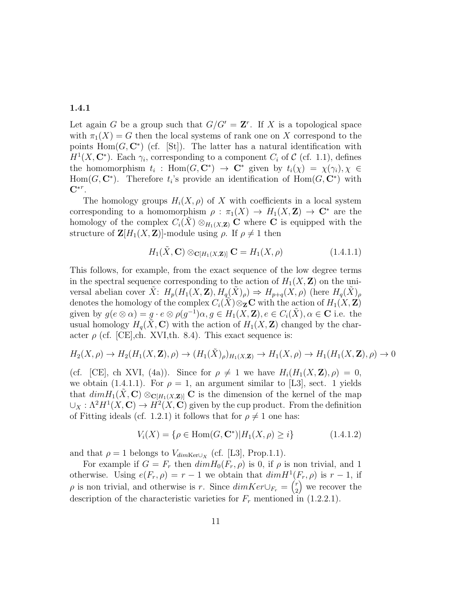#### 1.4.1

Let again G be a group such that  $G/G' = \mathbf{Z}^r$ . If X is a topological space with  $\pi_1(X) = G$  then the local systems of rank one on X correspond to the points  $Hom(G, \mathbb{C}^*)$  (cf. [St]). The latter has a natural identification with  $H^1(X, \mathbb{C}^*)$ . Each  $\gamma_i$ , corresponding to a component  $C_i$  of  $\mathcal{C}$  (cf. 1.1), defines the homomorphism  $t_i$ : Hom $(G, \mathbb{C}^*) \to \mathbb{C}^*$  given by  $t_i(\chi) = \chi(\gamma_i), \chi \in$ Hom $(G, \mathbb{C}^*)$ . Therefore  $t_i$ 's provide an identification of Hom $(G, \mathbb{C}^*)$  with  $\mathbf{C}^{*r}$ .

The homology groups  $H_i(X, \rho)$  of X with coefficients in a local system corresponding to a homomorphism  $\rho : \pi_1(X) \to H_1(X, \mathbb{Z}) \to \mathbb{C}^*$  are the homology of the complex  $C_i(X) \otimes_{H_1(X,\mathbf{Z})} \mathbf{C}$  where C is equipped with the structure of  $\mathbf{Z}[H_1(X, \mathbf{Z})]$ -module using  $\rho$ . If  $\rho \neq 1$  then

$$
H_1(\tilde{X}, \mathbf{C}) \otimes_{\mathbf{C}[H_1(X, \mathbf{Z})]} \mathbf{C} = H_1(X, \rho) \tag{1.4.1.1}
$$

This follows, for example, from the exact sequence of the low degree terms in the spectral sequence corresponding to the action of  $H_1(X, \mathbf{Z})$  on the universal abelian cover  $\tilde{X}$ :  $H_p(H_1(X, \mathbf{Z}), H_q(X)_{\rho}) \Rightarrow H_{p+q}(X, \rho)$  (here  $H_q(X)_{\rho}$ denotes the homology of the complex  $C_i(X) \otimes_{\mathbf{Z}} \mathbf{C}$  with the action of  $H_1(X,\mathbf{Z})$ given by  $g(e \otimes \alpha) = g \cdot e \otimes \rho(g^{-1})\alpha, g \in H_1(X, \mathbb{Z}), e \in C_i(\tilde{X}), \alpha \in \mathbb{C}$  i.e. the usual homology  $H_q(\tilde{X}, \mathbf{C})$  with the action of  $H_1(X, \mathbf{Z})$  changed by the character  $\rho$  (cf. [CE],ch. XVI,th. 8.4). This exact sequence is:

$$
H_2(X,\rho) \to H_2(H_1(X,\mathbf{Z}),\rho) \to (H_1(\tilde{X})_\rho)_{H_1(X,\mathbf{Z})} \to H_1(X,\rho) \to H_1(H_1(X,\mathbf{Z}),\rho) \to 0
$$

(cf. [CE], ch XVI, (4a)). Since for  $\rho \neq 1$  we have  $H_i(H_1(X, \mathbf{Z}), \rho) = 0$ , we obtain (1.4.1.1). For  $\rho = 1$ , an argument similar to [L3], sect. 1 yields that  $dim H_1(X, \mathbf{C}) \otimes_{\mathbf{C}[H_1(X, \mathbf{Z})]} \mathbf{C}$  is the dimension of the kernel of the map  $\cup_X : \Lambda^2 H^1(X, \mathbf{C}) \to H^2(X, \mathbf{C})$  given by the cup product. From the definition of Fitting ideals (cf. 1.2.1) it follows that for  $\rho \neq 1$  one has:

$$
V_i(X) = \{ \rho \in \text{Hom}(G, \mathbf{C}^*) | H_1(X, \rho) \ge i \}
$$
 (1.4.1.2)

and that  $\rho = 1$  belongs to  $V_{dim \text{Ker}\cup_X}$  (cf. [L3], Prop.1.1).

For example if  $G = F_r$  then  $dim H_0(F_r, \rho)$  is 0, if  $\rho$  is non trivial, and 1 otherwise. Using  $e(F_r, \rho) = r - 1$  we obtain that  $dim H^1(F_r, \rho)$  is  $r - 1$ , if  $\rho$  is non trivial, and otherwise is r. Since  $dimKer\cup_{F_r}={\binom{r}{2}}$ 2 we recover the description of the characteristic varieties for  $F_r$  mentioned in  $(1.2.2.1)$ .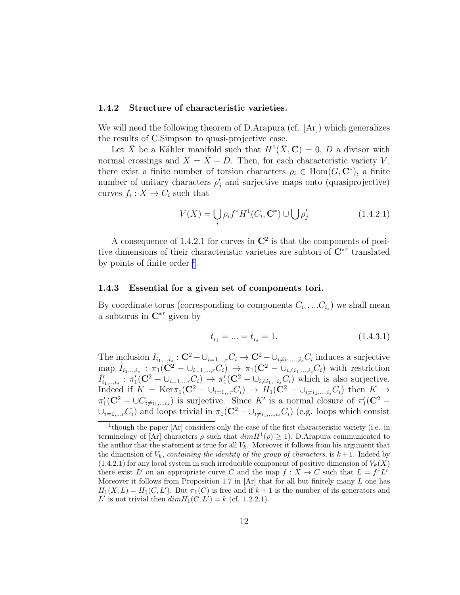#### 1.4.2 Structure of characteristic varieties.

We will need the following theorem of D.Arapura (cf. [Ar]) which generalizes the results of C.Simpson to quasi-projective case.

Let  $\bar{X}$  be a Kähler manifold such that  $H^1(\bar{X}, \mathbf{C}) = 0$ , D a divisor with normal crossings and  $X = \overline{X} - D$ . Then, for each characteristic variety V, there exist a finite number of torsion characters  $\rho_i \in \text{Hom}(G, \mathbb{C}^*)$ , a finite number of unitary characters  $\rho'_j$  and surjective maps onto (quasiprojective) curves  $f_i: X \to C_i$  such that

$$
V(X) = \bigcup_{i} \rho_i f^* H^1(C_i, \mathbf{C}^*) \cup \bigcup \rho'_j
$$
\n(1.4.2.1)

A consequence of 1.4.2.1 for curves in  $\mathbb{C}^2$  is that the components of positive dimensions of their characteristic varieties are subtori of  $\mathbf{C}^{*r}$  translated by points of finite order  $<sup>1</sup>$ .</sup>

#### 1.4.3 Essential for a given set of components tori.

By coordinate torus (corresponding to components  $C_{i_1},...C_{i_s}$ ) we shall mean a subtorus in  $\mathbb{C}^{*r}$  given by

$$
t_{i_1} = \ldots = t_{i_s} = 1. \tag{1.4.3.1}
$$

The inclusion  $I_{i_1,..,i_s}: \mathbb{C}^2-\cup_{i=1,..,r} C_i \to \mathbb{C}^2-\cup_{i \neq i_1,...,i_s} C_i$  induces a surjective  $\min_{\alpha_i} \tilde{I}_{i_1,..,i_s} : \pi_1(\mathbf{C}^2 - \cup_{i=1,...,r} C_i) \rightarrow \pi_1(\mathbf{C}^2 - \cup_{i \neq i_1,...,i_s} C_i)$  with restriction  $ilde{I}'_{i_1,..,i_s} : \pi'_1(\mathbf{C}^2 - \cup_{i=1,...,r} C_i) \to \pi'_1(\mathbf{C}^2 - \cup_{i \neq i_1,..i_s} C_i)$  which is also surjective. Indeed if  $K = \text{Ker} \pi_1(\mathbf{C}^2 - \cup_{i=1,,r} C_i) \to H_1(\mathbf{C}^2 - \cup_{i \neq i_1,...,i_s} C_i)$  then  $K \to$  $\pi_1'(\mathbf{C}^2 - \cup C_{i \neq i_1,\dots,i_s})$  is surjective. Since K' is a normal closure of  $\pi_1'(\mathbf{C}^2 \cup_{i=1,...r}C_i$ ) and loops trivial in  $\pi_1(\mathbf{C}^2-\cup_{i\neq i_1,...,i_s}C_i)$  (e.g. loops which consist

<sup>&</sup>lt;sup>1</sup>though the paper [Ar] considers only the case of the first characteristic variety (i.e. in terminology of [Ar] characters  $\rho$  such that  $dim H^1(\rho) \ge 1$ , D.Arapura communicated to the author that the statement is true for all  $V_k$ . Moreover it follows from his argument that the dimension of  $V_k$ , containing the identity of the group of characters, is  $k+1$ . Indeed by  $(1.4.2.1)$  for any local system in such irreducible component of positive dimension of  $V_k(X)$ there exist L' on an appropriate curve C and the map  $f: X \to C$  such that  $L = f^*L'$ . Moreover it follows from Proposition 1.7 in  $\text{Ar}|$  that for all but finitely many L one has  $H_1(X, L) = H_1(C, L')$ . But  $\pi_1(C)$  is free and if  $k + 1$  is the number of its generators and L' is not trivial then  $dim H_1(C, L') = k$  (cf. 1.2.2.1).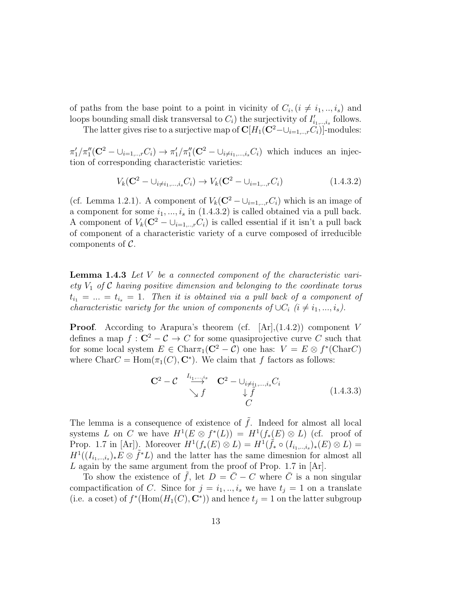of paths from the base point to a point in vicinity of  $C_i$ ,  $(i \neq i_1, ..., i_s)$  and loops bounding small disk transversal to  $C_i$ ) the surjectivity of  $I'_{i_1, ..., i_s}$  follows.

The latter gives rise to a surjective map of  $\mathbb{C}[H_1(\mathbb{C}^2-\cup_{i=1,..,r}\tilde{C}_i)]$ -modules:

 $\pi'_1/\pi''_1(C^2 - \cup_{i=1,\dots,r} C_i) \to \pi'_1/\pi''_1(C^2 - \cup_{i \neq i_1,\dots,i_s} C_i)$  which induces an injection of corresponding characteristic varieties:

$$
V_k(\mathbf{C}^2 - \cup_{i \neq i_1, \dots, i_s} C_i) \to V_k(\mathbf{C}^2 - \cup_{i=1, \dots, r} C_i)
$$
(1.4.3.2)

(cf. Lemma 1.2.1). A component of  $V_k(\mathbf{C}^2 - \bigcup_{i=1,\dots,r} C_i)$  which is an image of a component for some  $i_1, ..., i_s$  in  $(1.4.3.2)$  is called obtained via a pull back. A component of  $V_k(\mathbf{C}^2 - \bigcup_{i=1,\dots,r} C_i)$  is called essential if it isn't a pull back of component of a characteristic variety of a curve composed of irreducible components of  $\mathcal{C}$ .

**Lemma 1.4.3** Let V be a connected component of the characteristic variety  $V_1$  of C having positive dimension and belonging to the coordinate torus  $t_{i_1} = ... = t_{i_s} = 1$ . Then it is obtained via a pull back of a component of characteristic variety for the union of components of  $\cup C_i$  (i  $\neq i_1, ..., i_s$ ).

**Proof.** According to Arapura's theorem (cf.  $[Ar]$ , $(1.4.2)$ ) component V defines a map  $f: \mathbb{C}^2 - \mathcal{C} \to C$  for some quasiprojective curve C such that for some local system  $E \in \text{Char}\pi_1(\mathbb{C}^2 - \mathcal{C})$  one has:  $V = E \otimes f^*(\text{Char}\mathcal{C})$ where  $CharC = Hom(\pi_1(C), \mathbb{C}^*)$ . We claim that f factors as follows:

$$
\mathbf{C}^2 - \mathcal{C} \xrightarrow{I_{i_1,\dots,i_s}} \mathbf{C}^2 - \bigcup_{\substack{i \neq i_1,\dots,i_s\\i \neq j}} C_i
$$
\n
$$
\downarrow \hat{f} \tag{1.4.3.3}
$$

The lemma is a consequence of existence of  $\tilde{f}$ . Indeed for almost all local systems L on C we have  $H^1(E \otimes f^*(L)) = H^1(f^*(E) \otimes L)$  (cf. proof of Prop. 1.7 in [Ar]). Moreover  $H^1(f_*(E) \otimes L) = H^1(\tilde{f}_* \circ (I_{i_1, \ldots, i_s})_*(E) \otimes L) =$  $H^1((I_{i_1,\ldots,i_s})_*E\otimes \tilde{f}^*L)$  and the latter has the same dimesnion for almost all L again by the same argument from the proof of Prop. 1.7 in  $[Ar]$ .

To show the existence of  $\tilde{f}$ , let  $D = \overline{C} - C$  where  $\overline{C}$  is a non singular compactification of C. Since for  $j = i_1, ..., i_s$  we have  $t_j = 1$  on a translate (i.e. a coset) of  $f^*(Hom(H_1(C), \mathbb{C}^*))$  and hence  $t_j = 1$  on the latter subgroup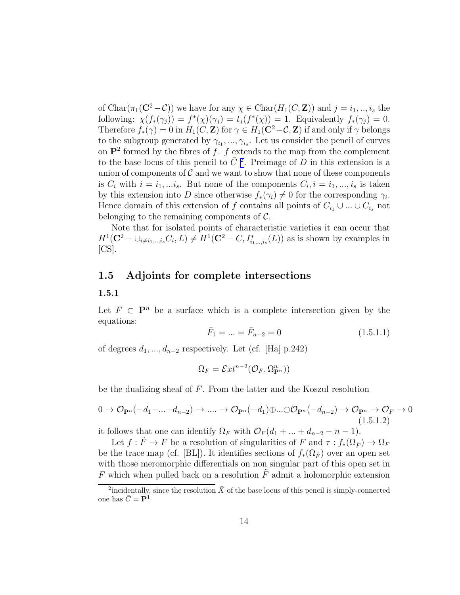of  $Char(\pi_1(\mathbf{C}^2-\mathcal{C}))$  we have for any  $\chi \in Char(H_1(C,\mathbf{Z}))$  and  $j = i_1, ..., i_s$  the following:  $\chi(f_*(\gamma_j)) = f^*(\chi)(\gamma_j) = t_j(f^*(\chi)) = 1$ . Equivalently  $f_*(\gamma_j) = 0$ . Therefore  $f_*(\gamma) = 0$  in  $H_1(C, \mathbf{Z})$  for  $\gamma \in H_1(\mathbf{C}^2 - C, \mathbf{Z})$  if and only if  $\gamma$  belongs to the subgroup generated by  $\gamma_{i_1},...,\gamma_{i_s}$ . Let us consider the pencil of curves on  $\mathbf{P}^2$  formed by the fibres of f. f extends to the map from the complement to the base locus of this pencil to  $\overline{C}$  <sup>2</sup>. Preimage of D in this extension is a union of components of  $\mathcal C$  and we want to show that none of these components is  $C_i$  with  $i = i_1, \dots i_s$ . But none of the components  $C_i$ ,  $i = i_1, \dots, i_s$  is taken by this extension into D since otherwise  $f_*(\gamma_i) \neq 0$  for the corresponding  $\gamma_i$ . Hence domain of this extension of f contains all points of  $C_{i_1} \cup ... \cup C_{i_s}$  not belonging to the remaining components of  $\mathcal{C}$ .

Note that for isolated points of characteristic varieties it can occur that  $H^1(\mathbf{C}^2 - \cup_{i \neq i_1, ..., i_s} C_i, L) \neq H^1(\mathbf{C}^2 - C, I^*_{i_1, ..., i_s}(L))$  as is shown by examples in  $[CS]$ .

# 1.5 Adjoints for complete intersections

#### 1.5.1

Let  $F \subset \mathbf{P}^n$  be a surface which is a complete intersection given by the equations:

$$
\bar{F}_1 = \dots = \bar{F}_{n-2} = 0 \tag{1.5.1.1}
$$

of degrees  $d_1, ..., d_{n-2}$  respectively. Let (cf. [Ha] p.242)

$$
\Omega_F = \mathcal{E}xt^{n-2}(\mathcal{O}_F, \Omega_{\mathbf{P}^n}^n))
$$

be the dualizing sheaf of  $F$ . From the latter and the Koszul resolution

$$
0 \to \mathcal{O}_{\mathbf{P}^n}(-d_1 - \dots - d_{n-2}) \to \dots \to \mathcal{O}_{\mathbf{P}^n}(-d_1) \oplus \dots \oplus \mathcal{O}_{\mathbf{P}^n}(-d_{n-2}) \to \mathcal{O}_{\mathbf{P}^n} \to \mathcal{O}_F \to 0
$$
\n(1.5.1.2)

it follows that one can identify  $\Omega_F$  with  $\mathcal{O}_F(d_1 + ... + d_{n-2} - n - 1)$ .

Let  $f : \tilde{F} \to F$  be a resolution of singularities of F and  $\tau : f_*(\Omega_{\tilde{F}}) \to \Omega_F$ be the trace map (cf. [BL]). It identifies sections of  $f_*(\Omega_{\tilde{F}})$  over an open set with those meromorphic differentials on non singular part of this open set in F which when pulled back on a resolution  $\tilde{F}$  admit a holomorphic extension

<sup>&</sup>lt;sup>2</sup>incidentally, since the resolution  $\bar{X}$  of the base locus of this pencil is simply-connected one has  $\bar{C} = \mathbf{P}^1$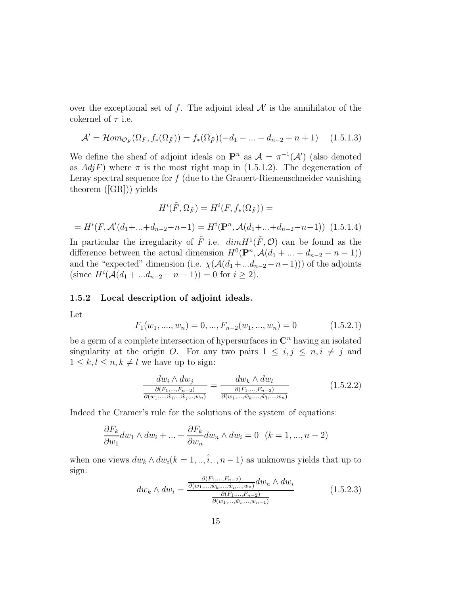over the exceptional set of f. The adjoint ideal  $\mathcal{A}'$  is the annihilator of the cokernel of  $\tau$  i.e.

$$
\mathcal{A}' = \mathcal{H}om_{\mathcal{O}_F}(\Omega_F, f_*(\Omega_{\tilde{F}})) = f_*(\Omega_{\tilde{F}})(-d_1 - \dots - d_{n-2} + n + 1) \tag{1.5.1.3}
$$

We define the sheaf of adjoint ideals on  $\mathbf{P}^n$  as  $\mathcal{A} = \pi^{-1}(\mathcal{A}')$  (also denoted as  $Adj F$ ) where  $\pi$  is the most right map in (1.5.1.2). The degeneration of Leray spectral sequence for  $f$  (due to the Grauert-Riemenschneider vanishing theorem ([GR])) yields

$$
H^i(\tilde{F},\Omega_{\tilde{F}})=H^i(F,f_*(\Omega_{\tilde{F}}))=
$$

$$
= H^{i}(F, \mathcal{A}'(d_1 + ... + d_{n-2} - n - 1)) = H^{i}(\mathbf{P}^n, \mathcal{A}(d_1 + ... + d_{n-2} - n - 1)) \tag{1.5.1.4}
$$

In particular the irregularity of  $\tilde{F}$  i.e.  $dim H^1(\tilde{F}, \mathcal{O})$  can be found as the difference between the actual dimension  $H^0(\mathbf{P}^n, \mathcal{A}(d_1 + \dots + d_{n-2} - n - 1))$ and the "expected" dimension (i.e.  $\chi(A(d_1 + ... d_{n-2} - n-1)))$  of the adjoints (since  $H^{i}(\mathcal{A}(d_1 + ... d_{n-2} - n - 1)) = 0$  for  $i \ge 2$ ).

#### 1.5.2 Local description of adjoint ideals.

Let

$$
F_1(w_1, \dots, w_n) = 0, \dots, F_{n-2}(w_1, \dots, w_n) = 0 \tag{1.5.2.1}
$$

be a germ of a complete intersection of hypersurfaces in  $\mathbb{C}^n$  having an isolated singularity at the origin O. For any two pairs  $1 \leq i, j \leq n, i \neq j$  and  $1 \leq k, l \leq n, k \neq l$  we have up to sign:

$$
\frac{dw_i \wedge dw_j}{\frac{\partial (F_1, \dots, F_{n-2})}{\partial (w_1, \dots, \hat{w}_i, \dots, \hat{w}_j, \dots, w_n)}} = \frac{dw_k \wedge dw_l}{\frac{\partial (F_1, \dots, F_{n-2})}{\partial (w_1, \dots, \hat{w}_k, \dots, \hat{w}_l, \dots, w_n)}}\n \tag{1.5.2.2}
$$

Indeed the Cramer's rule for the solutions of the system of equations:

$$
\frac{\partial F_k}{\partial w_1} dw_1 \wedge dw_i + \dots + \frac{\partial F_k}{\partial w_n} dw_n \wedge dw_i = 0 \quad (k = 1, ..., n-2)
$$

when one views  $dw_k \wedge dw_i (k = 1, ..., \hat{i}, ..., n-1)$  as unknowns yields that up to sign:

$$
dw_k \wedge dw_i = \frac{\frac{\partial (F_1, \dots, F_{n-2})}{\partial (w_1, \dots, \hat{w}_k, \dots, \hat{w}_i, \dots, w_n)} dw_n \wedge dw_i}{\frac{\partial (F_1, \dots, F_{n-2})}{\partial (w_1, \dots, \hat{w}_i, \dots, w_{n-1})}}
$$
(1.5.2.3)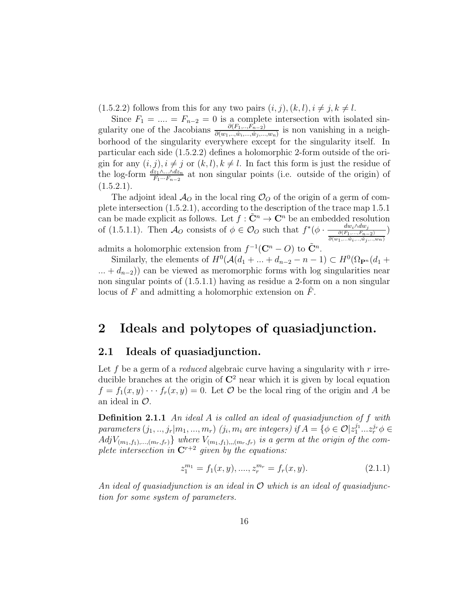$(1.5.2.2)$  follows from this for any two pairs  $(i, j)$ ,  $(k, l)$ ,  $i \neq j$ ,  $k \neq l$ .

Since  $F_1 = ... = F_{n-2} = 0$  is a complete intersection with isolated singularity one of the Jacobians  $\frac{\partial(F_1,..,F_{n-2})}{\partial(w_1,..,\hat{w}_i,...,\hat{w}_j,...,w_n)}$  is non vanishing in a neighborhood of the singularity everywhere except for the singularity itself. In particular each side (1.5.2.2) defines a holomorphic 2-form outside of the origin for any  $(i, j), i \neq j$  or  $(k, l), k \neq l$ . In fact this form is just the residue of the log-form  $\frac{dz_1\wedge\ldots\wedge dz_n}{F_1\cdots F_{n-2}}$  at non singular points (i.e. outside of the origin) of  $(1.5.2.1).$ 

The adjoint ideal  $\mathcal{A}_{\Omega}$  in the local ring  $\mathcal{O}_{\Omega}$  of the origin of a germ of complete intersection (1.5.2.1), according to the description of the trace map 1.5.1 can be made explicit as follows. Let  $f: \mathbb{C}^n \to \mathbb{C}^n$  be an embedded resolution of (1.5.1.1). Then  $\mathcal{A}_O$  consists of  $\phi \in \mathcal{O}_O$  such that  $f^*(\phi \cdot \frac{dw_i \wedge dw_j}{\phi \cdot (F_1, \ldots, F_{n-1})})$  $\partial(F_1,\ldots,F_{n-2})$  $\partial(w_1,...\hat{w}_i,..,\hat{w}_j,..,w_n)$ )

admits a holomorphic extension from  $f^{-1}(\mathbf{C}^n - O)$  to  $\tilde{\mathbf{C}}^n$ .

Similarly, the elements of  $H^0(\mathcal{A}(d_1 + ... + d_{n-2} - n - 1) \subset H^0(\Omega_{\mathbf{P}^n}(d_1 + ... + d_n - n - 1))$  $\dots + d_{n-2}$ ) can be viewed as meromorphic forms with log singularities near non singular points of (1.5.1.1) having as residue a 2-form on a non singular locus of  $F$  and admitting a holomorphic extension on  $\ddot{F}$ .

# 2 Ideals and polytopes of quasiadjunction.

# 2.1 Ideals of quasiadjunction.

Let f be a germ of a *reduced* algebraic curve having a singularity with  $r$  irreducible branches at the origin of  $\mathbb{C}^2$  near which it is given by local equation  $f = f_1(x, y) \cdots f_r(x, y) = 0$ . Let  $\mathcal O$  be the local ring of the origin and A be an ideal in  $\mathcal{O}$ .

**Definition 2.1.1** An ideal A is called an ideal of quasiadjunction of f with parameters  $(j_1, ..., j_r | m_1, ..., m_r)$   $(j_i, m_i$  are integers) if  $A = \{ \phi \in \mathcal{O} | z_1^{j_1} ... z_r^{j_r} \phi \in \mathcal{O} \}$  $Adj V_{(m_1,f_1),...,(m_r,f_r)}$ } where  $V_{(m_1,f_1),,(m_r,f_r)}$  is a germ at the origin of the complete intersection in  $\mathbb{C}^{r+2}$  given by the equations:

$$
z_1^{m_1} = f_1(x, y), \dots, z_r^{m_r} = f_r(x, y). \tag{2.1.1}
$$

An ideal of quasiadjunction is an ideal in  $\mathcal O$  which is an ideal of quasiadjunction for some system of parameters.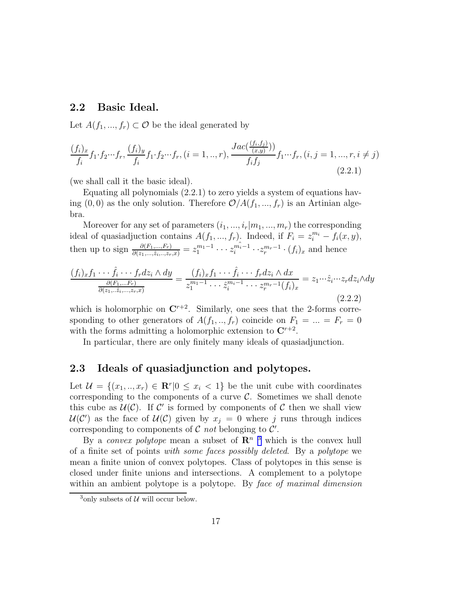### 2.2 Basic Ideal.

Let  $A(f_1, ..., f_r) \subset \mathcal{O}$  be the ideal generated by

$$
\frac{(f_i)_x}{f_i} f_1 \cdot f_2 \cdots f_r, \frac{(f_i)_y}{f_i} f_1 \cdot f_2 \cdots f_r, (i = 1, ..., r), \frac{Jac(\frac{(f_i, f_j)}{(x,y)})}{f_i f_j} f_1 \cdots f_r, (i, j = 1, ..., r, i \neq j)
$$
\n(2.2.1)

(we shall call it the basic ideal).

Equating all polynomials (2.2.1) to zero yields a system of equations having  $(0,0)$  as the only solution. Therefore  $\mathcal{O}/A(f_1, ..., f_r)$  is an Artinian algebra.

Moreover for any set of parameters  $(i_1, ..., i_r|m_1, ..., m_r)$  the corresponding ideal of quasiadjuction contains  $A(f_1, ..., f_r)$ . Indeed, if  $F_i = z_i^{m_i} - f_i(x, y)$ , then up to sign  $\frac{\partial (F_1,...,F_r)}{\partial (z_1,...,\hat{z}_i,...,z_r,x)} = z_1^{m_1-1} \cdots z_r$  $z_i^{\hat{m_i}-1} \cdot z_r^{m_r-1} \cdot (f_i)_x$  and hence

$$
\frac{(f_i)_x f_1 \cdots \hat{f}_i \cdots f_r dz_i \wedge dy}{\frac{\partial (F_1, \dots F_r)}{\partial (z_1, \dots \hat{z}_i, \dots, z_r, x)}} = \frac{(f_i)_x f_1 \cdots \hat{f}_i \cdots f_r dz_i \wedge dx}{z_1^{m_1 - 1} \cdots z_i^{m_i - 1} \cdots z_r^{m_r - 1} (f_i)_x} = z_1 \cdots \hat{z}_i \cdots z_r dz_i \wedge dy
$$
\n(2.2.2)

which is holomorphic on  $\mathbb{C}^{r+2}$ . Similarly, one sees that the 2-forms corresponding to other generators of  $A(f_1, ..., f_r)$  coincide on  $F_1 = ... = F_r = 0$ with the forms admitting a holomorphic extension to  $\mathbb{C}^{r+2}$ .

In particular, there are only finitely many ideals of quasiadjunction.

# 2.3 Ideals of quasiadjunction and polytopes.

Let  $\mathcal{U} = \{(x_1, ..., x_r) \in \mathbb{R}^r | 0 \le x_i < 1\}$  be the unit cube with coordinates corresponding to the components of a curve  $\mathcal{C}$ . Sometimes we shall denote this cube as  $U(\mathcal{C})$ . If  $\mathcal{C}'$  is formed by components of  $\mathcal C$  then we shall view  $\mathcal{U}(\mathcal{C}')$  as the face of  $\mathcal{U}(\mathcal{C})$  given by  $x_j = 0$  where j runs through indices corresponding to components of  $\mathcal C$  *not* belonging to  $\mathcal C'$ .

By a *convex polytope* mean a subset of  $\mathbb{R}^{n-3}$  which is the convex hull of a finite set of points with some faces possibly deleted. By a polytope we mean a finite union of convex polytopes. Class of polytopes in this sense is closed under finite unions and intersections. A complement to a polytope within an ambient polytope is a polytope. By face of maximal dimension

<sup>&</sup>lt;sup>3</sup>only subsets of  $U$  will occur below.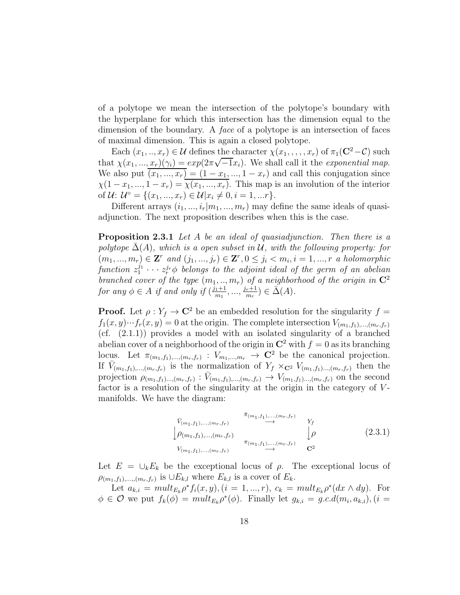of a polytope we mean the intersection of the polytope's boundary with the hyperplane for which this intersection has the dimension equal to the dimension of the boundary. A *face* of a polytope is an intersection of faces of maximal dimension. This is again a closed polytope.

Each  $(x_1, ..., x_r) \in \mathcal{U}$  defines the character  $\chi(x_1, ..., x_r)$  of  $\pi_1(\mathbb{C}^2-\mathcal{C})$  such that  $\chi(x_1, ..., x_r)(\gamma_i) = exp(2\pi\sqrt{-1}x_i)$ . We shall call it the exponential map. We also put  $\overline{(x_1, ..., x_r)} = (1 - x_1, ..., 1 - x_r)$  and call this conjugation since  $\chi(1-x_1, ..., 1-x_r) = \overline{\chi(x_1, ..., x_r)}$ . This map is an involution of the interior of  $\mathcal{U}: \mathcal{U}^{\circ} = \{(x_1, ..., x_r) \in \mathcal{U} | x_i \neq 0, i = 1, ...r \}.$ 

Different arrays  $(i_1, ..., i_r|m_1, ..., m_r)$  may define the same ideals of quasiadjunction. The next proposition describes when this is the case.

**Proposition 2.3.1** Let A be an ideal of quasiadjunction. Then there is a polytope  $\Delta(A)$ , which is a open subset in U, with the following property: for  $(m_1, ..., m_r) \in \mathbf{Z}^r$  and  $(j_1, ..., j_r) \in \mathbf{Z}^r, 0 \leq j_i < m_i, i = 1, ..., r$  a holomorphic function  $z_1^{j_1} \cdots z_r^{j_r} \phi$  belongs to the adjoint ideal of the germ of an abelian branched cover of the type  $(m_1, ..., m_r)$  of a neighborhood of the origin in  $\mathbb{C}^2$ for any  $\phi \in A$  if and only if  $(\frac{j_1+1}{m_1})$  $\frac{j_1+1}{m_1},...,\frac{j_r+1}{m_r}$  $(\frac{r+1}{m_r}) \in \overline{\Delta}(A).$ 

**Proof.** Let  $\rho: Y_f \to \mathbb{C}^2$  be an embedded resolution for the singularity  $f =$  $f_1(x, y) \cdots f_r(x, y) = 0$  at the origin. The complete intersection  $V_{(m_1, f_1), \dots, (m_r, f_r)}$ (cf. (2.1.1)) provides a model with an isolated singularity of a branched abelian cover of a neighborhood of the origin in  $\mathbb{C}^2$  with  $f = 0$  as its branching locus. Let  $\pi_{(m_1,f_1),...,(m_r,f_r)}: V_{m_1,...,m_r} \to \mathbb{C}^2$  be the canonical projection. If  $\bar{V}_{(m_1,f_1),...,(m_r,f_r)}$  is the normalization of  $Y_f \times_{\mathbf{C}^2} V_{(m_1,f_1)...,(m_r,f_r)}$  then the projection  $\rho_{(m_1,f_1)\dots,(m_r,f_r)}$ :  $\bar{V}_{(m_1,f_1),\dots,(m_r,f_r)} \to V_{(m_1,f_1)\dots,(m_r,f_r)}$  on the second factor is a resolution of the singularity at the origin in the category of  $V$ manifolds. We have the diagram:

$$
\begin{array}{ccc}\n\bar{\pi}_{(m_1,f_1),\ldots,(m_r,f_r)} & \pi_{(m_1,f_1),\ldots,(m_r,f_r)} & Y_f \\
\downarrow \rho_{(m_1,f_1),\ldots,(m_r,f_r)} & \pi_{(m_1,f_1),\ldots,(m_r,f_r)} & \downarrow \rho & (2.3.1) \\
V_{(m_1,f_1),\ldots,(m_r,f_r)} & \to & \mathbf{C}^2\n\end{array}
$$

Let  $E = \bigcup_k E_k$  be the exceptional locus of  $\rho$ . The exceptional locus of  $\rho_{(m_1,f_1),...,(m_r,f_r)}$  is  $\cup E_{k,l}$  where  $E_{k,l}$  is a cover of  $E_k$ .

Let  $a_{k,i} = mult_{E_k} \rho^* f_i(x, y), (i = 1, ..., r), c_k = mult_{E_k} \rho^* (dx \wedge dy)$ . For  $\phi \in \mathcal{O}$  we put  $f_k(\phi) = mult_{E_k} \rho^*(\phi)$ . Finally let  $g_{k,i} = g.c.d(m_i, a_{k,i})$ ,  $(i =$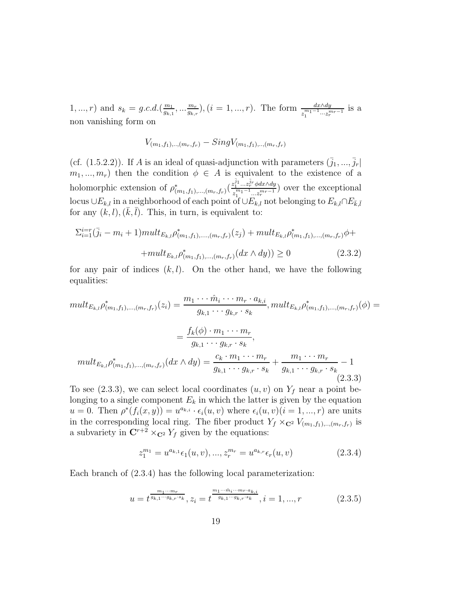1, ..., r) and  $s_k = g.c.d.(\frac{m_1}{q_{k-1}})$  $\frac{m_1}{g_{k,1}}, \ldots \frac{m_r}{g_{k,r}}$  $\frac{m_r}{g_{k,r}}$ ,  $(i = 1, ..., r)$ . The form  $\frac{dx \wedge dy}{z_1^{m_1 - 1} \cdots z_r^{m_r - 1}}$  is a non vanishing form on

$$
V_{(m_1,f_1),..,(m_r,f_r)} - Sing V_{(m_1,f_1),..,(m_r,f_r)}
$$

(cf. (1.5.2.2)). If A is an ideal of quasi-adjunction with parameters  $(\bar{j}_1, ..., \bar{j}_r)$  $m_1, ..., m_r$ ) then the condition  $\phi \in A$  is equivalent to the existence of a holomorphic extension of  $\rho^*_{(m_1,f_1),...,(m_r,f_r)}(\frac{z_1^{\bar{j}_1}...z_r^{\bar{j}_r}\phi dx\wedge dy}{z_1^{m_1-1}...z_n^{m_r-1}})$  $\sum_{i=1}^{\infty} \frac{m_i - 1}{m_i - 1}$  over the exceptional locus ∪ $E_{k,l}$  in a neighborhood of each point of ∪ $E_{k,l}$  not belonging to  $E_{k,l} \cap E_{\bar{k},\bar{l}}$ for any  $(k, l), (\bar{k}, \bar{l})$ . This, in turn, is equivalent to:

$$
\sum_{i=1}^{i=r} (\bar{j}_i - m_i + 1) mult_{E_{k,l}} \rho^*_{(m_1, f_1), \dots, (m_r, f_r)}(z_j) + mult_{E_{k,l}} \rho^*_{(m_1, f_1), \dots, (m_r, f_r)} \phi ++ mult_{E_{k,l}} \rho^*_{(m_1, f_1), \dots, (m_r, f_r)}(dx \wedge dy)) \ge 0
$$
\n(2.3.2)

for any pair of indices  $(k, l)$ . On the other hand, we have the following equalities:

$$
mult_{E_{k,l}} \rho^*_{(m_1,f_1),..., (m_r,f_r)}(z_i) = \frac{m_1 \cdots \hat{m}_i \cdots m_r \cdot a_{k,i}}{g_{k,1} \cdots g_{k,r} \cdot s_k}, mult_{E_{k,l}} \rho^*_{(m_1,f_1),..., (m_r,f_r)}(\phi) =
$$
  

$$
= \frac{f_k(\phi) \cdot m_1 \cdots m_r}{g_{k,1} \cdots g_{k,r} \cdot s_k},
$$

$$
mult_{E_{k,l}} \rho^*_{(m_1,f_1),..., (m_r,f_r)}(dx \wedge dy) = \frac{c_k \cdot m_1 \cdots m_r}{g_{k,1} \cdots g_{k,r} \cdot s_k} + \frac{m_1 \cdots m_r}{g_{k,1} \cdots g_{k,r} \cdot s_k} - 1
$$

$$
(2.3.3)
$$

To see (2.3.3), we can select local coordinates  $(u, v)$  on  $Y_f$  near a point belonging to a single component  $E_k$  in which the latter is given by the equation  $u = 0$ . Then  $\rho^*(f_i(x, y)) = u^{a_{k,i}} \cdot \epsilon_i(u, v)$  where  $\epsilon_i(u, v)(i = 1, ..., r)$  are units in the corresponding local ring. The fiber product  $Y_f \times_{\mathbf{C}^2} V_{(m_1,f_1),...,(m_r,f_r)}$  is a subvariety in  $\mathbb{C}^{r+2} \times_{\mathbb{C}^2} Y_f$  given by the equations:

$$
z_1^{m_1} = u^{a_{k,1}} \epsilon_1(u,v), \dots, z_r^{m_r} = u^{a_{k,r}} \epsilon_r(u,v) \tag{2.3.4}
$$

Each branch of (2.3.4) has the following local parameterization:

$$
u = t^{\frac{m_1 \cdots m_r}{g_{k,1} \cdots g_{k,r} \cdot s_k}}, z_i = t^{\frac{m_1 \cdots \hat{m}_i \cdots m_r \cdot a_{k,i}}{g_{k,1} \cdots g_{k,r} \cdot s_k}}, i = 1, ..., r
$$
 (2.3.5)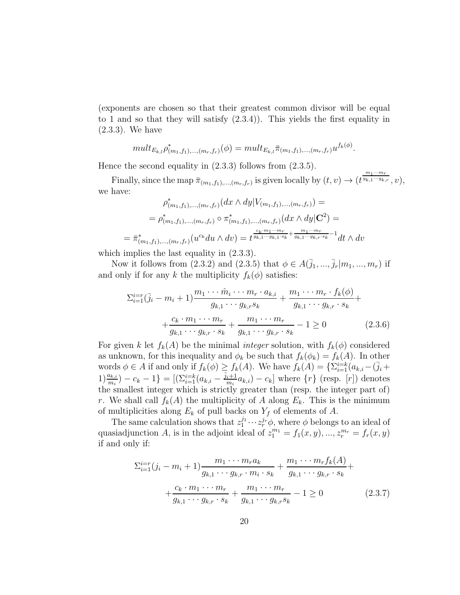(exponents are chosen so that their greatest common divisor will be equal to 1 and so that they will satisfy (2.3.4)). This yields the first equality in (2.3.3). We have

$$
mult_{E_{k,l}} \rho_{(m_1,f_1),...,(m_r,f_r)}^*(\phi) = mult_{E_{k,l}} \bar{\pi}_{(m_1,f_1),...,(m_r,f_r)} u^{f_k(\phi)}
$$

Hence the second equality in (2.3.3) follows from (2.3.5).

Finally, since the map  $\bar{\pi}_{(m_1,f_1),...,(m_r,f_r)}$  is given locally by  $(t, v) \to (t)$  $\frac{m_1\cdots m_r}{g_{k,1}\cdots g_{k,r}},v),$ we have:

.

$$
\rho_{(m_1,f_1),...,(m_r,f_r)}^*(dx \wedge dy | V_{(m_1,f_1),...,(m_r,f_r)}) =
$$
\n
$$
= \rho_{(m_1,f_1),...,(m_r,f_r)}^*(dx \wedge dy | \mathbf{C}^2) =
$$
\n
$$
= \bar{\pi}_{(m_1,f_1),...,(m_r,f_r)}^*(u^{c_k} du \wedge dv) = t^{\frac{c_k \cdot m_1 \cdot m_r}{g_{k,1} \cdots g_{k,1} \cdot s_k} + \frac{m_1 \cdot m_r}{g_{k,1} \cdots g_{k,r} \cdot s_k} - 1} dt \wedge dv
$$

which implies the last equality in  $(2.3.3)$ .

Now it follows from  $(2.3.2)$  and  $(2.3.5)$  that  $\phi \in A(\bar{j}_1, ..., \bar{j}_r | m_1, ..., m_r)$  if and only if for any k the multiplicity  $f_k(\phi)$  satisfies:

$$
\sum_{i=1}^{i=r} (\bar{j}_i - m_i + 1) \frac{m_1 \cdots \hat{m}_i \cdots m_r \cdot a_{k,i}}{g_{k,1} \cdots g_{k,r} s_k} + \frac{m_1 \cdots m_r \cdot f_k(\phi)}{g_{k,1} \cdots g_{k,r} \cdot s_k} + \frac{c_k \cdot m_1 \cdots m_r}{g_{k,1} \cdots g_{k,r} \cdot s_k} + \frac{m_1 \cdots m_r}{g_{k,1} \cdots g_{k,r} \cdot s_k} - 1 \ge 0
$$
 (2.3.6)

For given k let  $f_k(A)$  be the minimal *integer* solution, with  $f_k(\phi)$  considered as unknown, for this inequality and  $\phi_k$  be such that  $f_k(\phi_k) = f_k(A)$ . In other words  $\phi \in A$  if and only if  $f_k(\phi) \geq f_k(A)$ . We have  $f_k(A) = \{\sum_{i=1}^{i=k} (a_{k,i} - (\bar{j}_i +$  $(1)_{\frac{a_{k,i}}{m_i}}^{\frac{a_{k,i}}{m_i}} - c_k - 1$  =  $[(\sum_{i=1}^{i=k} (a_{k,i} - \frac{\bar{j}_i+1}{m_i})$  $\binom{i+1}{m_i} a_{k,i} - c_k$  where  $\{r\}$  (resp. [*r*]) denotes the smallest integer which is strictly greater than (resp. the integer part of) r. We shall call  $f_k(A)$  the multiplicity of A along  $E_k$ . This is the minimum of multiplicities along  $E_k$  of pull backs on  $Y_f$  of elements of A.

The same calculation shows that  $z_1^{j_1} \cdots z_r^{j_r} \phi$ , where  $\phi$  belongs to an ideal of quasiadjunction A, is in the adjoint ideal of  $z_1^{m_1} = f_1(x, y), ..., z_r^{m_r} = f_r(x, y)$ if and only if:

$$
\Sigma_{i=1}^{i=r} (j_i - m_i + 1) \frac{m_1 \cdots m_r a_k}{g_{k,1} \cdots g_{k,r} \cdot m_i \cdot s_k} + \frac{m_1 \cdots m_r f_k(A)}{g_{k,1} \cdots g_{k,r} \cdot s_k} + \frac{c_k \cdot m_1 \cdots m_r}{g_{k,1} \cdots g_{k,r} s_k} + \frac{m_1 \cdots m_r}{g_{k,1} \cdots g_{k,r} s_k} - 1 \ge 0
$$
\n(2.3.7)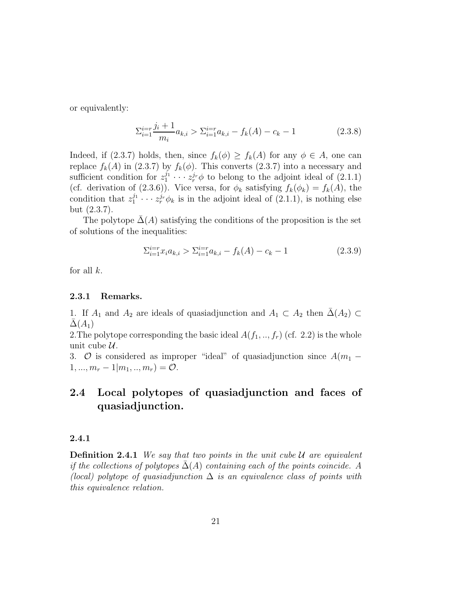or equivalently:

$$
\sum_{i=1}^{i=r} \frac{j_i+1}{m_i} a_{k,i} > \sum_{i=1}^{i=r} a_{k,i} - f_k(A) - c_k - 1 \tag{2.3.8}
$$

Indeed, if (2.3.7) holds, then, since  $f_k(\phi) \geq f_k(A)$  for any  $\phi \in A$ , one can replace  $f_k(A)$  in (2.3.7) by  $f_k(\phi)$ . This converts (2.3.7) into a necessary and sufficient condition for  $z_1^{j_1} \cdots z_r^{j_r} \phi$  to belong to the adjoint ideal of (2.1.1) (cf. derivation of (2.3.6)). Vice versa, for  $\phi_k$  satisfying  $f_k(\phi_k) = f_k(A)$ , the condition that  $z_1^{j_1} \cdots z_r^{j_r} \phi_k$  is in the adjoint ideal of  $(2.1.1)$ , is nothing else but (2.3.7).

The polytope  $\Delta(A)$  satisfying the conditions of the proposition is the set of solutions of the inequalities:

$$
\sum_{i=1}^{i=r} x_i a_{k,i} > \sum_{i=1}^{i=r} a_{k,i} - f_k(A) - c_k - 1
$$
\n(2.3.9)

for all  $k$ .

#### 2.3.1 Remarks.

1. If  $A_1$  and  $A_2$  are ideals of quasiadjunction and  $A_1 \subset A_2$  then  $\overline{\Delta}(A_2) \subset$  $\Delta(A_1)$ 

2. The polytope corresponding the basic ideal  $A(f_1, ..., f_r)$  (cf. 2.2) is the whole unit cube  $\mathcal{U}$ .

3. O is considered as improper "ideal" of quasiadjunction since  $A(m_1 1, ..., m_r - 1 | m_1, ..., m_r) = \mathcal{O}.$ 

# 2.4 Local polytopes of quasiadjunction and faces of quasiadjunction.

#### 2.4.1

**Definition 2.4.1** We say that two points in the unit cube  $U$  are equivalent if the collections of polytopes  $\Delta(A)$  containing each of the points coincide. A (local) polytope of quasiadjunction  $\Delta$  is an equivalence class of points with this equivalence relation.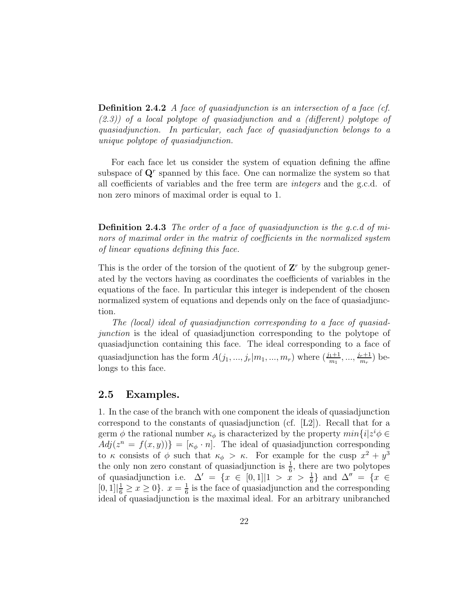**Definition 2.4.2** A face of quasiadjunction is an intersection of a face (cf. (2.3)) of a local polytope of quasiadjunction and a (different) polytope of quasiadjunction. In particular, each face of quasiadjunction belongs to a unique polytope of quasiadjunction.

For each face let us consider the system of equation defining the affine subspace of  $\mathbf{Q}^r$  spanned by this face. One can normalize the system so that all coefficients of variables and the free term are integers and the g.c.d. of non zero minors of maximal order is equal to 1.

Definition 2.4.3 The order of a face of quasiadjunction is the q.c.d of minors of maximal order in the matrix of coefficients in the normalized system of linear equations defining this face.

This is the order of the torsion of the quotient of  $\mathbf{Z}^r$  by the subgroup generated by the vectors having as coordinates the coefficients of variables in the equations of the face. In particular this integer is independent of the chosen normalized system of equations and depends only on the face of quasiadjunction.

The (local) ideal of quasiadjunction corresponding to a face of quasiadjunction is the ideal of quasiadjunction corresponding to the polytope of quasiadjunction containing this face. The ideal corresponding to a face of quasiadjunction has the form  $A(j_1, ..., j_r|m_1, ..., m_r)$  where  $(\frac{j_1+1}{m_1}, ..., \frac{j_r+1}{m_r})$  $\frac{r+1}{m_r}$ ) belongs to this face.

### 2.5 Examples.

1. In the case of the branch with one component the ideals of quasiadjunction correspond to the constants of quasiadjunction (cf. [L2]). Recall that for a germ  $\phi$  the rational number  $\kappa_{\phi}$  is characterized by the property  $min\{i|z^{i}\phi \in$  $Adj(z^n = f(x, y))$  =  $[\kappa_{\phi} \cdot n]$ . The ideal of quasiadjunction corresponding to  $\kappa$  consists of  $\phi$  such that  $\kappa_{\phi} > \kappa$ . For example for the cusp  $x^2 + y^3$ the only non zero constant of quasiadjunction is  $\frac{1}{6}$ , there are two polytopes of quasiadjunction i.e.  $\Delta' = \{x \in [0,1] | 1 > x > \frac{1}{6}\}\$ and  $\Delta'' = \{x \in [0,1] | 1 > x > \frac{1}{6}\}\$  $[0,1]$  $\left|\frac{1}{6}\right| \geq x \geq 0$  $\}$ .  $x = \frac{1}{6}$  $\frac{1}{6}$  is the face of quasiadjunction and the corresponding ideal of quasiadjunction is the maximal ideal. For an arbitrary unibranched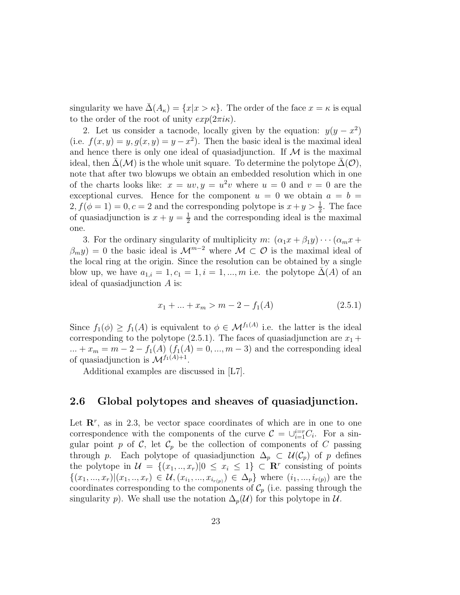singularity we have  $\bar{\Delta}(A_{\kappa}) = \{x | x > \kappa\}$ . The order of the face  $x = \kappa$  is equal to the order of the root of unity  $exp(2\pi i\kappa)$ .

2. Let us consider a tacnode, locally given by the equation:  $y(y - x^2)$ (i.e.  $f(x, y) = y, g(x, y) = y - x^2$ ). Then the basic ideal is the maximal ideal and hence there is only one ideal of quasiadjunction. If  $M$  is the maximal ideal, then  $\Delta(\mathcal{M})$  is the whole unit square. To determine the polytope  $\Delta(\mathcal{O})$ , note that after two blowups we obtain an embedded resolution which in one of the charts looks like:  $x = uv, y = u^2v$  where  $u = 0$  and  $v = 0$  are the exceptional curves. Hence for the component  $u = 0$  we obtain  $a = b =$  $2, f(\phi = 1) = 0, c = 2$  and the corresponding polytope is  $x + y > \frac{1}{2}$ . The face of quasiadjunction is  $x + y = \frac{1}{2}$  $\frac{1}{2}$  and the corresponding ideal is the maximal one.

3. For the ordinary singularity of multiplicity m:  $(\alpha_1 x + \beta_1 y) \cdots (\alpha_m x + \beta_m y)$  $(\beta_m y) = 0$  the basic ideal is  $\mathcal{M}^{m-2}$  where  $\mathcal{M} \subset \mathcal{O}$  is the maximal ideal of the local ring at the origin. Since the resolution can be obtained by a single blow up, we have  $a_{1,i} = 1, c_1 = 1, i = 1, ..., m$  i.e. the polytope  $\bar{\Delta}(A)$  of an ideal of quasiadjunction A is:

$$
x_1 + \dots + x_m > m - 2 - f_1(A) \tag{2.5.1}
$$

Since  $f_1(\phi) \ge f_1(A)$  is equivalent to  $\phi \in \mathcal{M}^{f_1(A)}$  i.e. the latter is the ideal corresponding to the polytope (2.5.1). The faces of quasiadjunction are  $x_1 +$ ... +  $x_m = m - 2 - f_1(A)$   $(f_1(A) = 0, ..., m - 3)$  and the corresponding ideal of quasiadjunction is  $\mathcal{M}^{f_1(A)+1}$ .

Additional examples are discussed in [L7].

## 2.6 Global polytopes and sheaves of quasiadjunction.

Let  $\mathbb{R}^r$ , as in 2.3, be vector space coordinates of which are in one to one correspondence with the components of the curve  $\mathcal{C} = \cup_{i=1}^{i=r} C_i$ . For a singular point p of C, let  $\mathcal{C}_p$  be the collection of components of C passing through p. Each polytope of quasiadjunction  $\Delta_p \subset \mathcal{U}(\mathcal{C}_p)$  of p defines the polytope in  $\mathcal{U} = \{(x_1, ..., x_r) | 0 \le x_i \le 1\} \subset \mathbb{R}^r$  consisting of points  $\{(x_1,...,x_r)| (x_1,..,x_r) \in \mathcal{U}, (x_{i_1},...,x_{i_{r(p)}}) \in \Delta_p\}$  where  $(i_1,...,i_{r(p)})$  are the coordinates corresponding to the components of  $\mathcal{C}_p$  (i.e. passing through the singularity p). We shall use the notation  $\Delta_p(\mathcal{U})$  for this polytope in  $\mathcal{U}$ .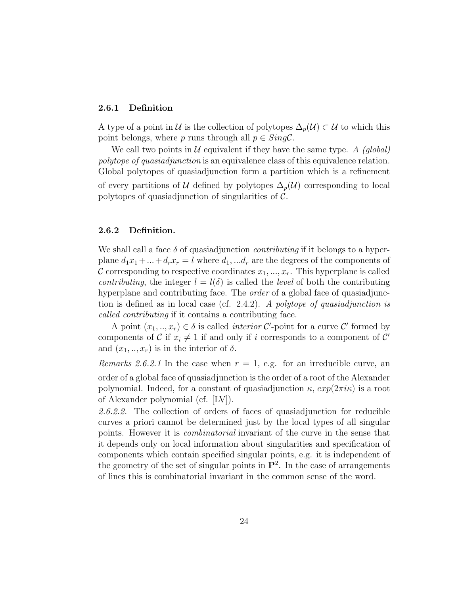#### 2.6.1 Definition

A type of a point in U is the collection of polytopes  $\Delta_p(\mathcal{U}) \subset \mathcal{U}$  to which this point belongs, where p runs through all  $p \in Sing\mathcal{C}$ .

We call two points in  $\mathcal U$  equivalent if they have the same type. A *(global)* polytope of quasiadjunction is an equivalence class of this equivalence relation. Global polytopes of quasiadjunction form a partition which is a refinement of every partitions of U defined by polytopes  $\Delta_p(\mathcal{U})$  corresponding to local polytopes of quasiadjunction of singularities of  $\mathcal{C}$ .

### 2.6.2 Definition.

We shall call a face  $\delta$  of quasiadjunction *contributing* if it belongs to a hyperplane  $d_1x_1 + ... + d_rx_r = l$  where  $d_1, ... d_r$  are the degrees of the components of C corresponding to respective coordinates  $x_1, ..., x_r$ . This hyperplane is called *contributing*, the integer  $l = l(\delta)$  is called the *level* of both the contributing hyperplane and contributing face. The *order* of a global face of quasiadjunction is defined as in local case (cf. 2.4.2). A polytope of quasiadjunction is called contributing if it contains a contributing face.

A point  $(x_1, ..., x_r) \in \delta$  is called *interior*  $\mathcal{C}'$ -point for a curve  $\mathcal{C}'$  formed by components of C if  $x_i \neq 1$  if and only if i corresponds to a component of C' and  $(x_1, \ldots, x_r)$  is in the interior of  $\delta$ .

Remarks 2.6.2.1 In the case when  $r = 1$ , e.g. for an irreducible curve, an order of a global face of quasiadjunction is the order of a root of the Alexander polynomial. Indeed, for a constant of quasiadjunction  $\kappa$ ,  $exp(2\pi i\kappa)$  is a root of Alexander polynomial (cf. [LV]).

2.6.2.2. The collection of orders of faces of quasiadjunction for reducible curves a priori cannot be determined just by the local types of all singular points. However it is combinatorial invariant of the curve in the sense that it depends only on local information about singularities and specification of components which contain specified singular points, e.g. it is independent of the geometry of the set of singular points in  $\mathbf{P}^2$ . In the case of arrangements of lines this is combinatorial invariant in the common sense of the word.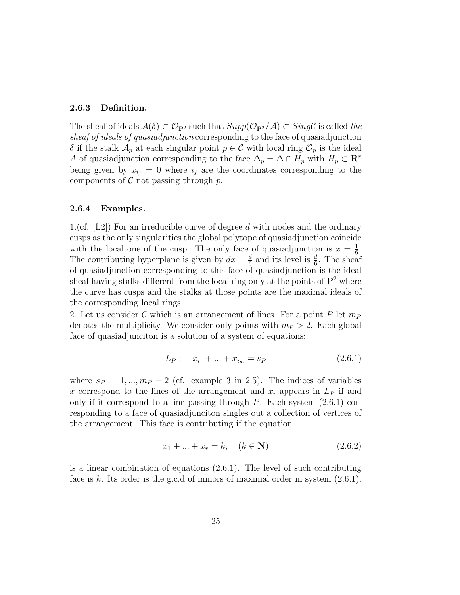#### 2.6.3 Definition.

The sheaf of ideals  $\mathcal{A}(\delta) \subset \mathcal{O}_{\mathbf{P}^2}$  such that  $Supp(\mathcal{O}_{\mathbf{P}^2}/\mathcal{A}) \subset Sing\mathcal{C}$  is called the sheaf of ideals of quasiadjunction corresponding to the face of quasiadjunction δ if the stalk  $\mathcal{A}_p$  at each singular point  $p \in \mathcal{C}$  with local ring  $\mathcal{O}_p$  is the ideal A of quasiadjunction corresponding to the face  $\Delta_p = \Delta \cap H_p$  with  $H_p \subset \mathbb{R}^r$ being given by  $x_{i_j} = 0$  where  $i_j$  are the coordinates corresponding to the components of  $\mathcal C$  not passing through  $p$ .

#### 2.6.4 Examples.

1.(cf.  $[L2]$ ) For an irreducible curve of degree d with nodes and the ordinary cusps as the only singularities the global polytope of quasiadjunction coincide with the local one of the cusp. The only face of quasiadjunction is  $x = \frac{1}{6}$  $\frac{1}{6}$ . The contributing hyperplane is given by  $dx = \frac{d}{6}$  $\frac{d}{6}$  and its level is  $\frac{d}{6}$ . The sheaf of quasiadjunction corresponding to this face of quasiadjunction is the ideal sheaf having stalks different from the local ring only at the points of  $\mathbf{P}^2$  where the curve has cusps and the stalks at those points are the maximal ideals of the corresponding local rings.

2. Let us consider C which is an arrangement of lines. For a point P let  $m_P$ denotes the multiplicity. We consider only points with  $m_P > 2$ . Each global face of quasiadjunciton is a solution of a system of equations:

$$
L_P: x_{i_1} + \ldots + x_{i_m} = s_P \tag{2.6.1}
$$

where  $s_P = 1, ..., m_P - 2$  (cf. example 3 in 2.5). The indices of variables x correspond to the lines of the arrangement and  $x_i$  appears in  $L_P$  if and only if it correspond to a line passing through  $P$ . Each system  $(2.6.1)$  corresponding to a face of quasiadjunciton singles out a collection of vertices of the arrangement. This face is contributing if the equation

$$
x_1 + \dots + x_r = k, \quad (k \in \mathbf{N})
$$
 (2.6.2)

is a linear combination of equations  $(2.6.1)$ . The level of such contributing face is k. Its order is the g.c.d of minors of maximal order in system  $(2.6.1)$ .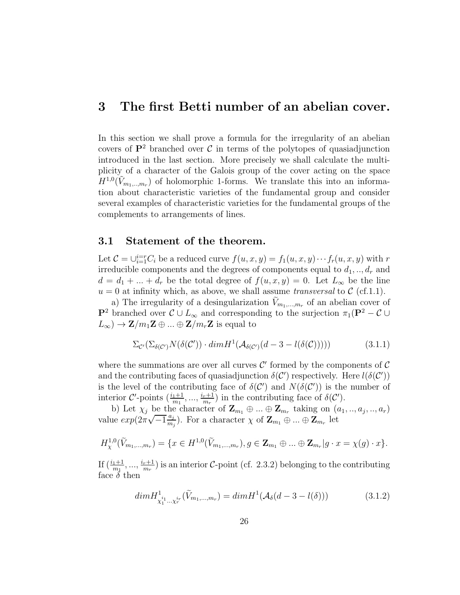# 3 The first Betti number of an abelian cover.

In this section we shall prove a formula for the irregularity of an abelian covers of  $\mathbf{P}^2$  branched over C in terms of the polytopes of quasiadjunction introduced in the last section. More precisely we shall calculate the multiplicity of a character of the Galois group of the cover acting on the space  $H^{1,0}(\tilde{V}_{m_1,\dots,m_r})$  of holomorphic 1-forms. We translate this into an information about characteristic varieties of the fundamental group and consider several examples of characteristic varieties for the fundamental groups of the complements to arrangements of lines.

### 3.1 Statement of the theorem.

Let  $\mathcal{C} = \bigcup_{i=1}^{i=r} C_i$  be a reduced curve  $f(u, x, y) = f_1(u, x, y) \cdots f_r(u, x, y)$  with r irreducible components and the degrees of components equal to  $d_1, ..., d_r$  and  $d = d_1 + ... + d_r$  be the total degree of  $f(u, x, y) = 0$ . Let  $L_{\infty}$  be the line  $u = 0$  at infinity which, as above, we shall assume *transversal* to  $\mathcal{C}$  (cf.1.1).

a) The irregularity of a desingularization  $V_{m_1,...,m_r}$  of an abelian cover of  $\mathbf{P}^2$  branched over  $\mathcal{C} \cup L_{\infty}$  and corresponding to the surjection  $\pi_1(\mathbf{P}^2 - \mathcal{C} \cup$  $L_{\infty}$ )  $\rightarrow$  Z/m<sub>1</sub>Z  $\oplus$  ...  $\oplus$  Z/m<sub>r</sub>Z is equal to

$$
\Sigma_{\mathcal{C}'}(\Sigma_{\delta(\mathcal{C}')}N(\delta(\mathcal{C}')) \cdot dim H^1(\mathcal{A}_{\delta(\mathcal{C}')}((d-3-l(\delta(\mathcal{C})))))
$$
\n(3.1.1)

where the summations are over all curves  $\mathcal{C}'$  formed by the components of  $\mathcal{C}$ and the contributing faces of quasiadjunction  $\delta(C')$  respectively. Here  $l(\delta(C'))$ is the level of the contributing face of  $\delta(C')$  and  $N(\delta(C'))$  is the number of interior  $\mathcal{C}'$ -points  $\left(\frac{i_1+1}{m_1}, \ldots, \frac{i_r+1}{m_r}\right)$  $\frac{r+1}{m_r}$ ) in the contributing face of  $\delta(C')$ .

b) Let  $\chi_j$  be the character of  $\mathbf{Z}_{m_1} \oplus ... \oplus \mathbf{Z}_{m_r}$  taking on  $(a_1, ..., a_j, ..., a_r)$ value  $exp(2\pi\sqrt{-1}\frac{a_j}{m_j})$  $\frac{a_j}{m_j}$ ). For a character  $\chi$  of  $\mathbf{Z}_{m_1} \oplus ... \oplus \mathbf{Z}_{m_r}$  let

$$
H_{\chi}^{1,0}(\tilde{V}_{m_1,...,m_r}) = \{x \in H^{1,0}(\tilde{V}_{m_1,...,m_r}), g \in \mathbf{Z}_{m_1} \oplus ... \oplus \mathbf{Z}_{m_r} | g \cdot x = \chi(g) \cdot x\}.
$$

If  $\left(\frac{i_1+1}{m_1},\ldots,\frac{i_r+1}{m_r}\right)$  $\frac{r+1}{m_r}$ ) is an interior C-point (cf. 2.3.2) belonging to the contributing face  $\delta$  then

$$
dim H^1_{\chi_1^{i_1}\cdots\chi_r^{i_r}}(\tilde{V}_{m_1,\ldots,m_r}) = dim H^1(\mathcal{A}_{\delta}(d-3-l(\delta)))
$$
\n(3.1.2)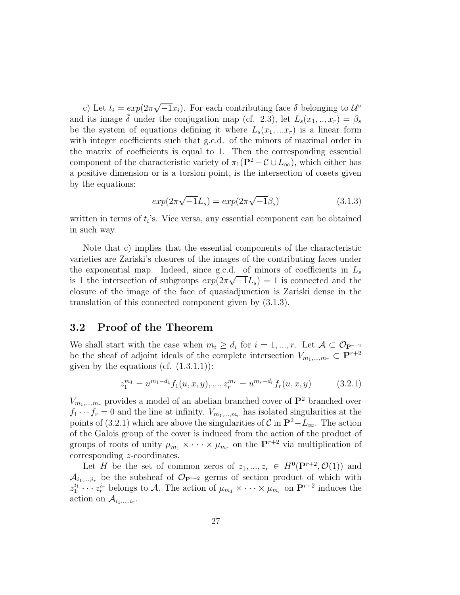c) Let  $t_i = exp(2\pi\sqrt{-1}x_i)$ . For each contributing face  $\delta$  belonging to  $\mathcal{U}^{\circ}$ and its image  $\bar{\delta}$  under the conjugation map (cf. 2.3), let  $L_s(x_1,..,x_r) = \beta_s$ be the system of equations defining it where  $L_s(x_1, ... x_r)$  is a linear form with integer coefficients such that g.c.d. of the minors of maximal order in the matrix of coefficients is equal to 1. Then the corresponding essential component of the characteristic variety of  $\pi_1(\mathbf{P}^2-\mathcal{C}\cup L_{\infty})$ , which either has a positive dimension or is a torsion point, is the intersection of cosets given by the equations:

$$
exp(2\pi\sqrt{-1}L_s) = exp(2\pi\sqrt{-1}\beta_s)
$$
\n(3.1.3)

written in terms of  $t_i$ 's. Vice versa, any essential component can be obtained in such way.

Note that c) implies that the essential components of the characteristic varieties are Zariski's closures of the images of the contributing faces under the exponential map. Indeed, since g.c.d. of minors of coefficients in  $L_s$ is 1 the intersection of subgroups  $exp(2\pi\sqrt{-1}L_s) = 1$  is connected and the closure of the image of the face of quasiadjunction is Zariski dense in the translation of this connected component given by (3.1.3).

## 3.2 Proof of the Theorem

We shall start with the case when  $m_i \geq d_i$  for  $i = 1, ..., r$ . Let  $\mathcal{A} \subset \mathcal{O}_{\mathbf{P}^{r+2}}$ be the sheaf of adjoint ideals of the complete intersection  $V_{m_1,...,m_r} \subset \mathbf{P}^{r+2}$ given by the equations (cf.  $(1.3.1.1)$ ):

$$
z_1^{m_1} = u^{m_1 - d_1} f_1(u, x, y), \dots, z_r^{m_r} = u^{m_r - d_r} f_r(u, x, y) \tag{3.2.1}
$$

 $V_{m_1,\dots,m_r}$  provides a model of an abelian branched cover of  $\mathbf{P}^2$  branched over  $f_1 \cdots f_r = 0$  and the line at infinity.  $V_{m_1,...,m_r}$  has isolated singularities at the points of (3.2.1) which are above the singularities of  $\mathcal{C}$  in  $\mathbf{P}^2-L_{\infty}$ . The action of the Galois group of the cover is induced from the action of the product of groups of roots of unity  $\mu_{m_1} \times \cdots \times \mu_{m_r}$  on the  $\mathbf{P}^{r+2}$  via multiplication of corresponding z-coordinates.

Let H be the set of common zeros of  $z_1, ..., z_r \in H^0(\mathbf{P}^{r+2}, \mathcal{O}(1))$  and  $\mathcal{A}_{i_1,...,i_r}$  be the subsheaf of  $\mathcal{O}_{\mathbf{P}^{r+2}}$  germs of section product of which with  $z_1^{i_1} \cdots z_r^{i_r}$  belongs to A. The action of  $\mu_{m_1} \times \cdots \times \mu_{m_r}$  on  $\mathbf{P}^{r+2}$  induces the action on  $\mathcal{A}_{i_1,\dots,i_r}$ .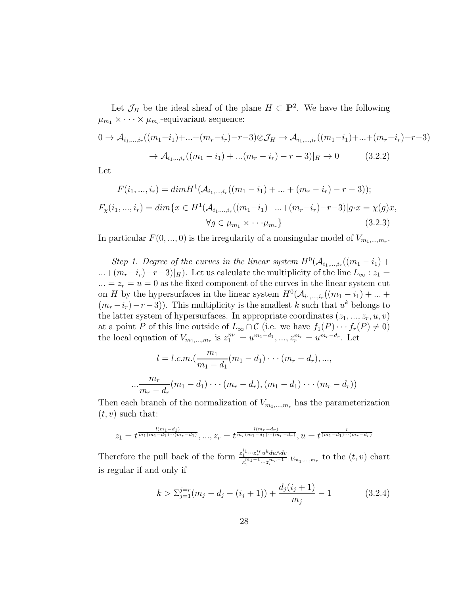Let  $\mathcal{J}_H$  be the ideal sheaf of the plane  $H \subset \mathbf{P}^2$ . We have the following  $\mu_{m_1} \times \cdots \times \mu_{m_r}$ -equivariant sequence:

$$
0 \to \mathcal{A}_{i_1,\dots,i_r}((m_1-i_1)+\dots+(m_r-i_r)-r-3)\otimes \mathcal{J}_H \to \mathcal{A}_{i_1,\dots,i_r}((m_1-i_1)+\dots+(m_r-i_r)-r-3)\to \mathcal{A}_{i_1,\dots,i_r}((m_1-i_1)+\dots(m_r-i_r)-r-3)|_H \to 0
$$
 (3.2.2)

Let

$$
F(i_1, ..., i_r) = dim H^1(\mathcal{A}_{i_1, ..., i_r}((m_1 - i_1) + ... + (m_r - i_r) - r - 3));
$$
  

$$
F_{\chi}(i_1, ..., i_r) = dim\{x \in H^1(\mathcal{A}_{i_1, ..., i_r}((m_1 - i_1) + ... + (m_r - i_r) - r - 3)|g \cdot x = \chi(g)x,
$$
  

$$
\forall g \in \mu_{m_1} \times \cdots \mu_{m_r}\}
$$
(3.2.3)

In particular  $F(0, ..., 0)$  is the irregularity of a nonsingular model of  $V_{m_1,...,m_r}$ .

Step 1. Degree of the curves in the linear system  $H^0(A_{i_1,\ldots,i_r}((m_1-i_1)+\dots+i_r))$  $...+(m_r-i_r)-r-3)|_H$ ). Let us calculate the multiplicity of the line  $L_{\infty}:z_1 =$  $\ldots = z_r = u = 0$  as the fixed component of the curves in the linear system cut on H by the hypersurfaces in the linear system  $H^0(\mathcal{A}_{i_1,\dots,i_r}(m_1-i_1)+...+$  $(m_r - i_r) - r - 3)$ ). This multiplicity is the smallest k such that  $u^k$  belongs to the latter system of hypersurfaces. In appropriate coordinates  $(z_1, ..., z_r, u, v)$ at a point P of this line outside of  $L_{\infty} \cap C$  (i.e. we have  $f_1(P) \cdots f_r(P) \neq 0$ ) the local equation of  $V_{m_1,...,m_r}$  is  $z_1^{m_1} = u^{m_1-d_1},..., z_r^{m_r} = u^{m_r-d_r}$ . Let

$$
l = l.c.m.(\frac{m_1}{m_1 - d_1}(m_1 - d_1) \cdots (m_r - d_r), ...,
$$

$$
\dots \frac{m_r}{m_r - d_r}(m_1 - d_1) \cdots (m_r - d_r), (m_1 - d_1) \cdots (m_r - d_r))
$$

Then each branch of the normalization of  $V_{m_1,...,m_r}$  has the parameterization  $(t, v)$  such that:

$$
z_1 = t^{\frac{l(m_1 - d_1)}{m_1(m_1 - d_1)\cdots(m_r - d_1)}},..., z_r = t^{\frac{l(m_r - d_r)}{m_r(m_1 - d_1)\cdots(m_r - d_r)}}, u = t^{\frac{l}{(m_1 - d_1)\cdots(m_r - d_r)}}
$$

Therefore the pull back of the form  $\frac{z_1^{i_1} \cdots z_r^{i_r} u^k du \wedge dv}{z^{m_1-1} \cdots w_r-1}$  $\frac{z_1^{m_1-...z_r-u} \; du \wedge dv}{z_1^{m_1-1} \cdots z_r^{m_r-1}}|_{V_{m_1,...,m_r}}$  to the  $(t, v)$  chart is regular if and only if

$$
k > \sum_{j=1}^{j=r} (m_j - d_j - (i_j + 1)) + \frac{d_j(i_j + 1)}{m_j} - 1
$$
 (3.2.4)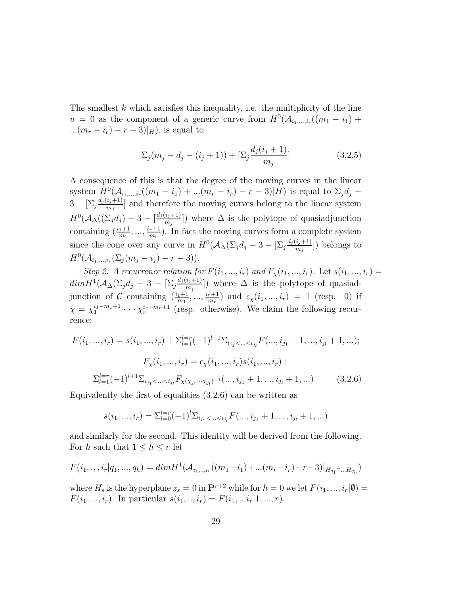The smallest  $k$  which satisfies this inequality, i.e. the multiplicity of the line  $u = 0$  as the component of a generic curve from  $H^0(A_{i_1,\dots,i_r}(m_1-i_1))$ ... $(m_r - i_r) - r - 3)|_H$ , is equal to

$$
\Sigma_j(m_j - d_j - (i_j + 1)) + [\Sigma_j \frac{d_j(i_j + 1)}{m_j}]
$$
\n(3.2.5)

A consequence of this is that the degree of the moving curves in the linear system  $H^0(A_{i_1,...,i_r}((m_1-i_1)+...(m_r-i_r)-r-3)|H)$  is equal to  $\Sigma_jd_j$  $3 - [\sum_j \frac{d_j(i_j+1)}{m_j}]$  $\frac{i_j+1_j}{m_j}$  and therefore the moving curves belong to the linear system  $H^0 ({\cal A}_{\Delta}((\Sigma_jd_j)-3-[\frac{d_j(i_j+1)}{m_j}$  $\binom{i_j+1}{m_j}$  where  $\Delta$  is the polytope of quasiadjunction containing  $\left(\frac{i_1+1}{m_1},\ldots,\frac{i_r+1}{m_r}\right)$  $\frac{r+1}{m_r}$ ). In fact the moving curves form a complete system since the cone over any curve in  $H^0(\mathcal{A}_{\Delta}(\Sigma_j d_j - 3 - [\Sigma_j \frac{d_j(i_j+1)}{m_j}$  $\binom{\lfloor ij+1 \rfloor}{m_j}$  belongs to  $H^0(A_{i_1,...,i_r}(\Sigma_j(m_j - i_j) - r - 3)).$ 

Step 2. A recurrence relation for  $F(i_1, ..., i_r)$  and  $F_{\chi}(i_1, ..., i_r)$ . Let  $s(i_1, ..., i_r)$  $dim H^1({\cal A}_{\Delta}(\Sigma_j d_j-3-[\Sigma_j {{d_j(i_j+1)} \over {m_j}}$  $\binom{n_j+1}{m_j}$  where  $\Delta$  is the polytope of quasiadjunction of C containing  $\left(\frac{i_1+1}{m_1}, \ldots, \frac{i_r+1}{m_r}\right)$  $\frac{r+1}{m_r}$  and  $\epsilon_{\chi}(i_1,...,i_r) = 1$  (resp. 0) if  $\chi = \chi_1^{i_1 - m_1 + 1} \cdots \chi_r^{i_r - m_r + 1}$  (resp. otherwise). We claim the following recurrence:

$$
F(i_1, ..., i_r) = s(i_1, ..., i_r) + \sum_{l=1}^{l=r} (-1)^{l+1} \sum_{i_{j_1} < ... < i_{j_l}} F(..., i_{j_1} + 1, ..., i_{j_l} + 1, ...);
$$
  
\n
$$
F_{\chi}(i_1, ..., i_r) = \epsilon_{\chi}(i_1, ..., i_r) s(i_1, ..., i_r) +
$$
  
\n
$$
\sum_{l=1}^{l=r} (-1)^{l+1} \sum_{i_{j_1} < ... < i_{j_l}} F_{\chi(\chi_{j_1} \cdots \chi_{j_l})^{-1}}(..., i_{j_1} + 1, ..., i_{j_l} + 1, ...)
$$
 (3.2.6)

Equivalently the first of equalities (3.2.6) can be written as

$$
s(i_1, ..., i_r) = \sum_{l=0}^{l=r} (-1)^l \sum_{i_{j_1} < ... < i_{j_l}} F(..., i_{j_1} + 1, ..., i_{j_l} + 1, ...)
$$

and similarly for the second. This identity will be derived from the following. For h such that  $1 \leq h \leq r$  let

$$
F(i_1,..,i_r|q_1,...,q_h) = dim H^1(\mathcal{A}_{i_1,..,i_r}((m_1-i_1)+...(m_r-i_r)-r-3)|_{H_{q_1}\cap...H_{q_h}})
$$

where  $H_s$  is the hyperplane  $z_s = 0$  in  $\mathbf{P}^{r+2}$  while for  $h = 0$  we let  $F(i_1, ..., i_r|\emptyset) =$  $F(i_1, ..., i_r)$ . In particular  $s(i_1, ..., i_r) = F(i_1, ..., i_r|1, ..., r)$ .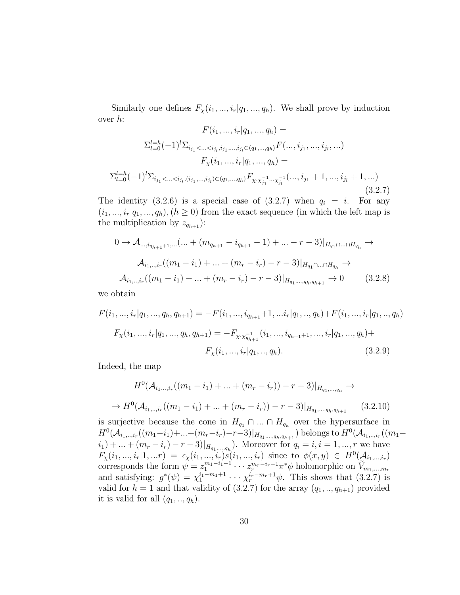Similarly one defines  $F_{\chi}(i_1, ..., i_r|q_1, ..., q_h)$ . We shall prove by induction over h:

$$
F(i_1, ..., i_r | q_1, ..., q_h) =
$$
  
\n
$$
\sum_{l=0}^{l=h} (-1)^l \sum_{i_{j_1} < ... < i_{j_l}, i_{j_1}, ..., i_{j_l} \subset (q_1, ..., q_h)} F(..., i_{j_1}, ..., i_{j_l}, ...)
$$
  
\n
$$
F_{\chi}(i_1, ..., i_r | q_1, ..., q_h) =
$$
  
\n
$$
\sum_{l=0}^{l=h} (-1)^l \sum_{i_{j_1} < ... < i_{j_l}, (i_{j_1}, ..., i_{j_l}) \subset (q_1, ..., q_h)} F_{\chi \cdot \chi_{j_1}^{-1} \cdots \chi_{j_l}^{-1}}(..., i_{j_1} + 1, ..., i_{j_l} + 1, ...)
$$
  
\n(3.2.7)

The identity (3.2.6) is a special case of (3.2.7) when  $q_i = i$ . For any  $(i_1, ..., i_r|q_1, ..., q_h)$ ,  $(h \ge 0)$  from the exact sequence (in which the left map is the multiplication by  $z_{q_{h+1}}$ ):

$$
0 \to \mathcal{A}_{\dots, i_{q_{h+1}+1}, \dots}(\dots + (m_{q_{h+1}} - i_{q_{h+1}} - 1) + \dots - r - 3)|_{H_{q_1} \cap \dots \cap H_{q_h}} \to
$$
  

$$
\mathcal{A}_{i_1, \dots, i_r}((m_1 - i_1) + \dots + (m_r - i_r) - r - 3)|_{H_{q_1} \cap \dots \cap H_{q_h}} \to
$$
  

$$
\mathcal{A}_{i_1, \dots, i_r}((m_1 - i_1) + \dots + (m_r - i_r) - r - 3)|_{H_{q_1, \dots, q_h, q_{h+1}}} \to 0
$$
 (3.2.8)

we obtain

$$
F(i_1, ..., i_r | q_1, ..., q_h, q_{h+1}) = -F(i_1, ..., i_{q_{h+1}} + 1, ... i_r | q_1, ..., q_h) + F(i_1, ..., i_r | q_1, ..., q_h)
$$
  

$$
F_{\chi}(i_1, ..., i_r | q_1, ..., q_h, q_{h+1}) = -F_{\chi \cdot \chi_{q_{h+1}}^{-1}}(i_1, ..., i_{q_{h+1}+1}, ..., i_r | q_1, ..., q_h) +
$$
  

$$
F_{\chi}(i_1, ..., i_r | q_1, ..., q_h).
$$
 (3.2.9)

Indeed, the map

$$
H^{0}(\mathcal{A}_{i_{1},...,i_{r}}((m_{1}-i_{1})+...+(m_{r}-i_{r}))-r-3)|_{H_{q_{1},...,q_{h}}}\to
$$
  

$$
\to H^{0}(\mathcal{A}_{i_{1},...,i_{r}}((m_{1}-i_{1})+...+(m_{r}-i_{r}))-r-3)|_{H_{q_{1},...,q_{h},q_{h+1}}} \qquad (3.2.10)
$$

is surjective because the cone in  $H_{q_1} \cap ... \cap H_{q_h}$  over the hypersurface in  $H^0(\mathcal{A}_{i_1, ..., i_r}((m_1-i_1)+...+(m_r-i_r)-r-3)|_{H_{q_1, ..., q_h,q_{h+1}}})$  belongs to  $H^0(\mathcal{A}_{i_1, ..., i_r}((m_1-i_1)+...+(m_r-i_r)-r-3)|_{H_{q_1, ..., q_h,q_{h+1}}})$  $(i_1) + ... + (m_r - i_r) - r - 3$ , Moreover for  $q_i = i, i = 1, ..., r$  we have  $F_{\chi}(i_1, ..., i_r|1, ...r) = \epsilon_{\chi}(i_1, ..., i_r) s(i_1, ..., i_r)$  since to  $\phi(x, y) \in H^0(\mathcal{A}_{i_1, ..., i_r})$ corresponds the form  $\psi = z_1^{m_1-i_1-1} \cdots z_r^{m_r-i_r-1} \pi^* \phi$  holomorphic on  $\widetilde{V}_{m_1,...,m_r}$ and satisfying:  $g^*(\psi) = \chi_1^{i_1-m_1+1} \cdots \chi_r^{i_r-m_r+1} \psi$ . This shows that (3.2.7) is valid for  $h = 1$  and that validity of (3.2.7) for the array  $(q_1, ..., q_{h+1})$  provided it is valid for all  $(q_1, ..., q_h)$ .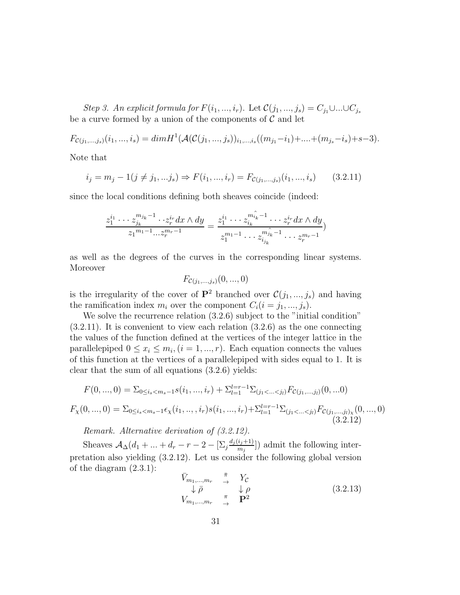Step 3. An explicit formula for  $F(i_1, ..., i_r)$ . Let  $\mathcal{C}(j_1, ..., j_s) = C_{j_1} \cup ... \cup C_{j_s}$ be a curve formed by a union of the components of  $\mathcal C$  and let

$$
F_{\mathcal{C}(j_1,\ldots,j_s)}(i_1,\ldots,i_s) = dim H^1(\mathcal{A}(\mathcal{C}(j_1,\ldots,j_s))_{i_1,\ldots,i_s}((m_{j_1}-i_1)+\ldots+(m_{j_s}-i_s)+s-3).
$$

Note that

$$
i_j = m_j - 1(j \neq j_1, \dots, j_s) \Rightarrow F(i_1, \dots, i_r) = F_{\mathcal{C}(j_1, \dots, j_s)}(i_1, \dots, i_s) \tag{3.2.11}
$$

since the local conditions defining both sheaves coincide (indeed:

$$
\frac{z_1^{i_1} \cdots z_{j_k}^{m_{j_k}-1} \cdots z_r^{i_r} dx \wedge dy}{z_1^{m_1-1} \cdots z_r^{m_r-1}} = \frac{z_1^{i_1} \cdots z_{i_k}^{m_{i_k}-1} \cdots z_r^{i_r} dx \wedge dy}{z_1^{m_1-1} \cdots z_{i_{j_k}}^{m_{j_k}-1} \cdots z_r^{m_r-1}}
$$

as well as the degrees of the curves in the corresponding linear systems. Moreover

 $F_{\mathcal{C}(j_1,...,j_s)}(0,...,0)$ 

is the irregularity of the cover of  $\mathbf{P}^2$  branched over  $\mathcal{C}(j_1, ..., j_s)$  and having the ramification index  $m_i$  over the component  $C_i(i = j_1, ..., j_s)$ .

We solve the recurrence relation  $(3.2.6)$  subject to the "initial condition" (3.2.11). It is convenient to view each relation (3.2.6) as the one connecting the values of the function defined at the vertices of the integer lattice in the parallelepiped  $0 \le x_i \le m_i$ ,  $(i = 1, ..., r)$ . Each equation connects the values of this function at the vertices of a parallelepiped with sides equal to 1. It is clear that the sum of all equations (3.2.6) yields:

$$
F(0, ..., 0) = \sum_{0 \le i_s < m_s - 1} s(i_1, ..., i_r) + \sum_{l=1}^{l=r-1} \sum_{(j_1 < ... < j_l)} F_{\mathcal{C}(j_1, ..., j_l)}(0, ...0)
$$
\n
$$
F_{\chi}(0, ..., 0) = \sum_{0 \le i_s < m_s - 1} \epsilon_{\chi}(i_1, ..., i_r) s(i_1, ..., i_r) + \sum_{l=1}^{l=r-1} \sum_{(j_1 < ... < j_l)} F_{\mathcal{C}(j_1, ..., j_l)}(0, ..., 0)
$$
\n
$$
(3.2.12)
$$

Remark. Alternative derivation of (3.2.12).

Sheaves  $A_{\Delta}(d_1 + ... + d_r - r - 2 - [\sum_j \frac{d_j(i_j+1)}{m_j}]$  $\frac{m_j+1}{m_j}$ ) admit the following interpretation also yielding (3.2.12). Let us consider the following global version of the diagram (2.3.1):

$$
\begin{array}{ccc}\n\bar{V}_{m_1,\dots,m_r} & \stackrel{\bar{\pi}}{\rightarrow} & Y_{\mathcal{C}} \\
\downarrow \bar{\rho} & & \downarrow \rho \\
V_{m_1,\dots,m_r} & \stackrel{\pi}{\rightarrow} & \mathbf{P}^2\n\end{array} \tag{3.2.13}
$$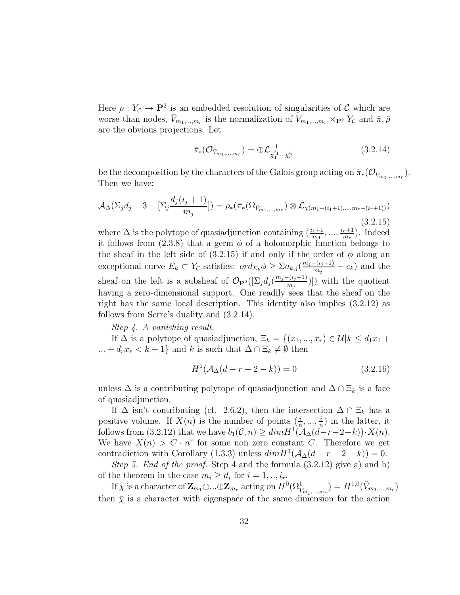Here  $\rho: Y_{\mathcal{C}} \to \mathbf{P}^2$  is an embedded resolution of singularities of  $\mathcal{C}$  which are worse than nodes,  $\bar{V}_{m_1,...,m_r}$  is the normalization of  $\bar{V}_{m_1,...,m_r} \times_{\mathbf{P}^2} Y_{\mathcal{C}}$  and  $\bar{\pi}, \bar{\rho}$ are the obvious projections. Let

$$
\bar{\pi}_{*}(\mathcal{O}_{\bar{V}_{m_1,\dots,m_r}}) = \oplus \mathcal{L}_{\chi_1^{i_1}\cdots\chi_r^{i_r}}^{-1}
$$
\n(3.2.14)

be the decomposition by the characters of the Galois group acting on  $\bar{\pi}_*(\mathcal{O}_{\bar{V}_{m_1,...,m_r}})$ . Then we have:

$$
\mathcal{A}_{\Delta}(\Sigma_j d_j - 3 - [\Sigma_j \frac{d_j(i_j + 1)}{m_j}]) = \rho_*(\bar{\pi}_*(\Omega_{\bar{V}_{m_1,\dots,m_r}}) \otimes \mathcal{L}_{\chi(m_1 - (i_1 + 1),\dots,m_r - (i_r + 1)))})
$$
\n(3.2.15)

where  $\Delta$  is the polytope of quasiadjunction containing  $\left(\frac{i_1+1}{m_1}, \ldots, \frac{i_r+1}{m_r}\right)$  $\frac{r+1}{m_r}$ ). Indeed it follows from  $(2.3.8)$  that a germ  $\phi$  of a holomorphic function belongs to the sheaf in the left side of  $(3.2.15)$  if and only if the order of  $\phi$  along an exceptional curve  $E_k \subset Y_{\mathcal{C}}$  satisfies:  $\operatorname{ord}_{E_k} \phi \geq \sum a_{k,j} \left( \frac{m_j - (i_j + 1)}{m_j} \right)$  $\frac{-(i_j+1)}{m_j}-c_k$  and the sheaf on the left is a subsheaf of  $\mathcal{O}_{\mathbf{P}^2}([\Sigma_j d_j(\frac{m_j-(i_j+1)}{m_j}$  $\binom{-(i_j+1)}{m_j}$ ) with the quotient having a zero-dimensional support. One readily sees that the sheaf on the right has the same local description. This identity also implies (3.2.12) as follows from Serre's duality and (3.2.14).

Step 4. A vanishing result.

If  $\Delta$  is a polytope of quasiadjunction,  $\Xi_k = \{(x_1, ..., x_r) \in \mathcal{U} | k \leq d_1 x_1 +$ ... +  $d_rx_r < k + 1$ } and k is such that  $\Delta \cap \Xi_k \neq \emptyset$  then

$$
H^{1}(\mathcal{A}_{\Delta}(d-r-2-k)) = 0 \qquad (3.2.16)
$$

unless  $\Delta$  is a contributing polytope of quasiadjunction and  $\Delta \cap \Xi_k$  is a face of quasiadjunction.

If  $\Delta$  isn't contributing (cf. 2.6.2), then the intersection  $\Delta \cap \Xi_k$  has a positive volume. If  $X(n)$  is the number of points  $\left(\frac{i}{n},\ldots,\frac{i}{n}\right)$  $\frac{i}{n}$ ) in the latter, it follows from  $(3.2.12)$  that we have  $b_1(\mathcal{C}, n) \geq dim H^1(\mathcal{A}_{\Delta}(d-r-2-k)) \cdot X(n)$ . We have  $X(n) > C \cdot n^r$  for some non zero constant C. Therefore we get contradiction with Corollary (1.3.3) unless  $dim H^{1}(A_{\Delta}(d-r-2-k)) = 0.$ 

Step 5. End of the proof. Step 4 and the formula (3.2.12) give a) and b) of the theorem in the case  $m_i \geq d_i$  for  $i = 1, ..., i_r$ .

If  $\chi$  is a character of  $\mathbf{Z}_{m_1} \oplus ... \oplus \mathbf{Z}_{m_r}$  acting on  $H^0(\Omega^1_{\tilde{V}_{m_1,...,m_r}}) = H^{1,0}(\tilde{V}_{m_1,...,m_r})$ then  $\bar{\chi}$  is a character with eigenspace of the same dimension for the action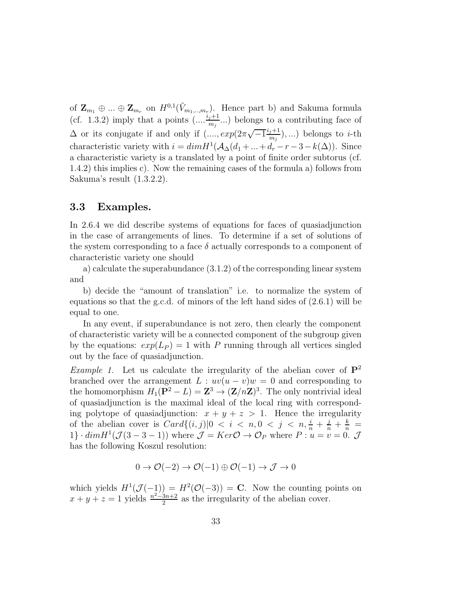of  $\mathbf{Z}_{m_1} \oplus ... \oplus \mathbf{Z}_{m_r}$  on  $H^{0,1}(\tilde{V}_{m_1, ..., m_r})$ . Hence part b) and Sakuma formula (cf. 1.3.2) imply that a points  $\left(\dots \frac{i_j+1}{m}\right)$  $\frac{j+1}{m_j}$ ...) belongs to a contributing face of  $\Delta$  or its conjugate if and only if  $\left( \ldots, exp(2\pi\sqrt{-1}\frac{i_j+1}{m_j}\right)$  $\binom{j+1}{m_j}$ ,...) belongs to *i*-th characteristic variety with  $i = dim H^1(A_\Delta(d_1 + ... + d_r - r - 3 - k(\Delta))$ . Since a characteristic variety is a translated by a point of finite order subtorus (cf. 1.4.2) this implies c). Now the remaining cases of the formula a) follows from Sakuma's result (1.3.2.2).

# 3.3 Examples.

In 2.6.4 we did describe systems of equations for faces of quasiadjunction in the case of arrangements of lines. To determine if a set of solutions of the system corresponding to a face  $\delta$  actually corresponds to a component of characteristic variety one should

a) calculate the superabundance (3.1.2) of the corresponding linear system and

b) decide the "amount of translation" i.e. to normalize the system of equations so that the g.c.d. of minors of the left hand sides of (2.6.1) will be equal to one.

In any event, if superabundance is not zero, then clearly the component of characteristic variety will be a connected component of the subgroup given by the equations:  $exp(L_P) = 1$  with P running through all vertices singled out by the face of quasiadjunction.

*Example 1.* Let us calculate the irregularity of the abelian cover of  $\mathbf{P}^2$ branched over the arrangement  $L : uv(u - v)w = 0$  and corresponding to the homomorphism  $H_1(\mathbf{P}^2 - L) = \mathbf{Z}^3 \to (\mathbf{Z}/n\mathbf{Z})^3$ . The only nontrivial ideal of quasiadjunction is the maximal ideal of the local ring with corresponding polytope of quasiadjunction:  $x + y + z > 1$ . Hence the irregularity of the abelian cover is  $Card{(i,j)}|0 \lt i \lt n, 0 \lt j \lt n, \frac{i}{n} + \frac{j}{n} + \frac{k}{n} =$  $1\} \cdot dim H^1(\mathcal{J}(3-3-1))$  where  $\mathcal{J} = Ker\mathcal{O} \rightarrow \mathcal{O}_P$  where  $P: u = v = 0$ .  $\mathcal{J}$ has the following Koszul resolution:

$$
0 \to \mathcal{O}(-2) \to \mathcal{O}(-1) \oplus \mathcal{O}(-1) \to \mathcal{J} \to 0
$$

which yields  $H^1(\mathcal{J}(-1)) = H^2(\mathcal{O}(-3)) = \mathbf{C}$ . Now the counting points on  $x + y + z = 1$  yields  $\frac{n^2-3n+2}{2}$  $\frac{3n+2}{2}$  as the irregularity of the abelian cover.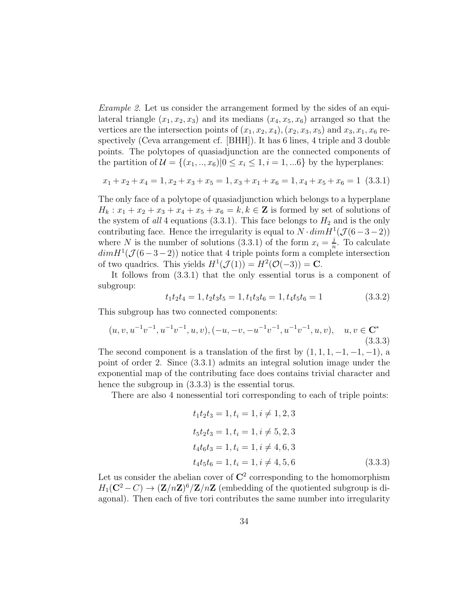Example 2. Let us consider the arrangement formed by the sides of an equilateral triangle  $(x_1, x_2, x_3)$  and its medians  $(x_4, x_5, x_6)$  arranged so that the vertices are the intersection points of  $(x_1, x_2, x_4), (x_2, x_3, x_5)$  and  $x_3, x_1, x_6$  respectively (Ceva arrangement cf. [BHH]). It has 6 lines, 4 triple and 3 double points. The polytopes of quasiadjunction are the connected components of the partition of  $\mathcal{U} = \{(x_1, \ldots, x_6) | 0 \le x_i \le 1, i = 1, \ldots 6\}$  by the hyperplanes:

$$
x_1 + x_2 + x_4 = 1, x_2 + x_3 + x_5 = 1, x_3 + x_1 + x_6 = 1, x_4 + x_5 + x_6 = 1
$$
 (3.3.1)

The only face of a polytope of quasiadjunction which belongs to a hyperplane  $H_k: x_1 + x_2 + x_3 + x_4 + x_5 + x_6 = k, k \in \mathbb{Z}$  is formed by set of solutions of the system of all 4 equations (3.3.1). This face belongs to  $H_2$  and is the only contributing face. Hence the irregularity is equal to  $N \cdot dim H^1(\mathcal{J}(6-3-2))$ where N is the number of solutions (3.3.1) of the form  $x_i = \frac{j}{n}$  $\frac{j}{n}$ . To calculate  $dim H^{1}(\mathcal{J}(6-3-2))$  notice that 4 triple points form a complete intersection of two quadrics. This yields  $H^1(\mathcal{J}(1)) = H^2(\mathcal{O}(-3)) = \mathbf{C}$ .

It follows from (3.3.1) that the only essential torus is a component of subgroup:

$$
t_1 t_2 t_4 = 1, t_2 t_3 t_5 = 1, t_1 t_3 t_6 = 1, t_4 t_5 t_6 = 1 \tag{3.3.2}
$$

This subgroup has two connected components:

$$
(u, v, u^{-1}v^{-1}, u^{-1}v^{-1}, u, v), (-u, -v, -u^{-1}v^{-1}, u^{-1}v^{-1}, u, v), \quad u, v \in \mathbb{C}^*
$$
\n(3.3.3)

The second component is a translation of the first by  $(1, 1, 1, -1, -1, -1)$ , a point of order 2. Since (3.3.1) admits an integral solution image under the exponential map of the contributing face does contains trivial character and hence the subgroup in (3.3.3) is the essential torus.

There are also 4 nonessential tori corresponding to each of triple points:

$$
t_1 t_2 t_3 = 1, t_i = 1, i \neq 1, 2, 3
$$
  
\n
$$
t_5 t_2 t_3 = 1, t_i = 1, i \neq 5, 2, 3
$$
  
\n
$$
t_4 t_6 t_3 = 1, t_i = 1, i \neq 4, 6, 3
$$
  
\n
$$
t_4 t_5 t_6 = 1, t_i = 1, i \neq 4, 5, 6
$$
  
\n(3.3.3)

Let us consider the abelian cover of  $\mathbb{C}^2$  corresponding to the homomorphism  $H_1(\mathbf{C}^2 - C) \to (\mathbf{Z}/n\mathbf{Z})^6 / \mathbf{Z}/n\mathbf{Z}$  (embedding of the quotiented subgroup is diagonal). Then each of five tori contributes the same number into irregularity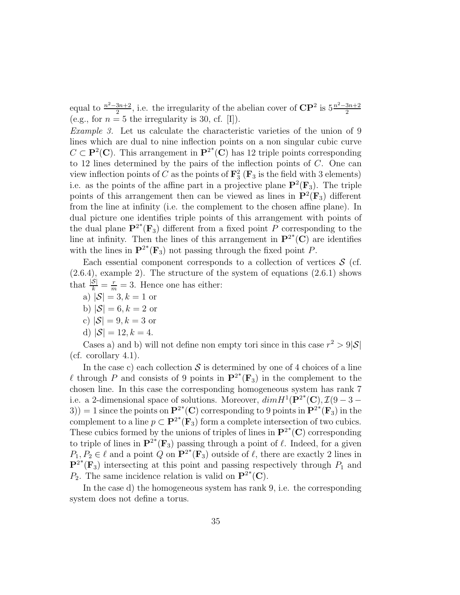equal to  $\frac{n^2-3n+2}{2}$  $\frac{3n+2}{2}$ , i.e. the irregularity of the abelian cover of  $\mathbb{CP}^2$  is  $5\frac{n^2-3n+2}{2}$ 2 (e.g., for  $n = 5$  the irregularity is 30, cf. [I]).

Example 3. Let us calculate the characteristic varieties of the union of 9 lines which are dual to nine inflection points on a non singular cubic curve  $C \subset \mathbf{P}^2(\mathbf{C})$ . This arrangement in  $\mathbf{P}^{2*}(\mathbf{C})$  has 12 triple points corresponding to 12 lines determined by the pairs of the inflection points of  $C$ . One can view inflection points of C as the points of  $\mathbf{F}_3^2$  ( $\mathbf{F}_3$  is the field with 3 elements) i.e. as the points of the affine part in a projective plane  $\mathbf{P}^2(\mathbf{F}_3)$ . The triple points of this arrangement then can be viewed as lines in  $\mathbf{P}^2(\mathbf{F}_3)$  different from the line at infinity (i.e. the complement to the chosen affine plane). In dual picture one identifies triple points of this arrangement with points of the dual plane  $\mathbf{P}^{2*}(\mathbf{F}_3)$  different from a fixed point P corresponding to the line at infinity. Then the lines of this arrangement in  $\mathbf{P}^{2*}(\mathbf{C})$  are identifies with the lines in  $\mathbf{P}^{2*}(\mathbf{F}_3)$  not passing through the fixed point P.

Each essential component corresponds to a collection of vertices  $\mathcal S$  (cf.  $(2.6.4)$ , example 2). The structure of the system of equations  $(2.6.1)$  shows that  $\frac{|S|}{k} = \frac{r}{m} = 3$ . Hence one has either:

- a)  $|S| = 3, k = 1$  or
- b)  $|S| = 6, k = 2$  or
- c)  $|\mathcal{S}| = 9, k = 3$  or
- d)  $|S| = 12, k = 4.$

Cases a) and b) will not define non empty tori since in this case  $r^2 > 9|\mathcal{S}|$ (cf. corollary  $4.1$ ).

In the case c) each collection  $S$  is determined by one of 4 choices of a line  $ℓ$  through  $P$  and consists of 9 points in  $\mathbf{P}^{2*}(\mathbf{F}_3)$  in the complement to the chosen line. In this case the corresponding homogeneous system has rank 7 i.e. a 2-dimensional space of solutions. Moreover,  $dim H^1(\mathbf{P}^{2*}(\mathbf{C}), \mathcal{I}(9-3-$ 3)) = 1 since the points on  $\mathbf{P}^{2*}(\mathbf{C})$  corresponding to 9 points in  $\mathbf{P}^{2*}(\mathbf{F}_3)$  in the complement to a line  $p \subset \mathbf{P}^{2*}(\mathbf{F}_3)$  form a complete intersection of two cubics. These cubics formed by the unions of triples of lines in  $\mathbf{P}^{2*}(\mathbf{C})$  corresponding to triple of lines in  $\mathbf{P}^{2^*}(\mathbf{F}_3)$  passing through a point of  $\ell$ . Indeed, for a given  $P_1, P_2 \in \ell$  and a point  $Q$  on  $\mathbf{P}^{2*}(\mathbf{F}_3)$  outside of  $\ell$ , there are exactly 2 lines in  $\mathbf{P}^{2*}(\mathbf{F}_3)$  intersecting at this point and passing respectively through  $P_1$  and  $P_2$ . The same incidence relation is valid on  $\mathbf{P}^{2*}(\mathbf{C})$ .

In the case d) the homogeneous system has rank 9, i.e. the corresponding system does not define a torus.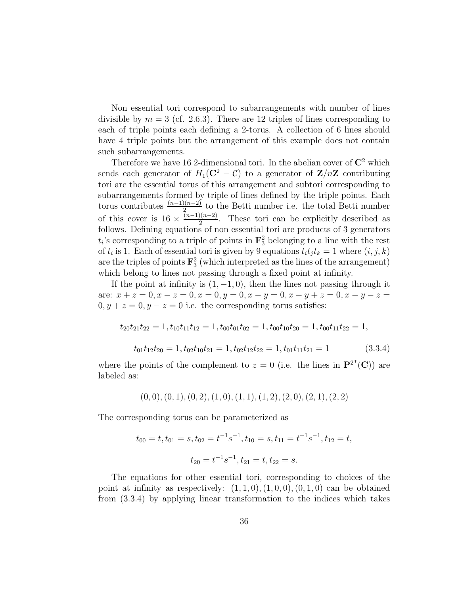Non essential tori correspond to subarrangements with number of lines divisible by  $m = 3$  (cf. 2.6.3). There are 12 triples of lines corresponding to each of triple points each defining a 2-torus. A collection of 6 lines should have 4 triple points but the arrangement of this example does not contain such subarrangements.

Therefore we have 16 2-dimensional tori. In the abelian cover of  ${\bf C}^2$  which sends each generator of  $H_1(\mathbf{C}^2 - \mathcal{C})$  to a generator of  $\mathbf{Z}/n\mathbf{Z}$  contributing tori are the essential torus of this arrangement and subtori corresponding to subarrangements formed by triple of lines defined by the triple points. Each torus contributes  $\frac{(n-1)(n-2)}{2}$  to the Betti number i.e. the total Betti number of this cover is  $16 \times \frac{(n-1)(n-2)}{2}$  $\frac{\ln(n-2)}{2}$ . These tori can be explicitly described as follows. Defining equations of non essential tori are products of 3 generators  $t_i$ 's corresponding to a triple of points in  $\mathbf{F}_3^2$  belonging to a line with the rest of  $t_i$  is 1. Each of essential tori is given by 9 equations  $t_i t_j t_k = 1$  where  $(i, j, k)$ are the triples of points  $\mathbf{F}_3^2$  (which interpreted as the lines of the arrangement) which belong to lines not passing through a fixed point at infinity.

If the point at infinity is  $(1, -1, 0)$ , then the lines not passing through it are:  $x + z = 0, x - z = 0, x = 0, y = 0, x - y = 0, x - y + z = 0, x - y - z = 0$  $0, y + z = 0, y - z = 0$  i.e. the corresponding torus satisfies:

$$
t_{20}t_{21}t_{22} = 1, t_{10}t_{11}t_{12} = 1, t_{00}t_{01}t_{02} = 1, t_{00}t_{10}t_{20} = 1, t_{00}t_{11}t_{22} = 1,
$$
  

$$
t_{01}t_{12}t_{20} = 1, t_{02}t_{10}t_{21} = 1, t_{02}t_{12}t_{22} = 1, t_{01}t_{11}t_{21} = 1
$$
 (3.3.4)

where the points of the complement to  $z = 0$  (i.e. the lines in  $\mathbf{P}^{2*}(\mathbf{C})$ ) are labeled as:

$$
(0,0), (0,1), (0,2), (1,0), (1,1), (1,2), (2,0), (2,1), (2,2)
$$

The corresponding torus can be parameterized as

$$
t_{00} = t, t_{01} = s, t_{02} = t^{-1}s^{-1}, t_{10} = s, t_{11} = t^{-1}s^{-1}, t_{12} = t,
$$
  

$$
t_{20} = t^{-1}s^{-1}, t_{21} = t, t_{22} = s.
$$

The equations for other essential tori, corresponding to choices of the point at infinity as respectively:  $(1, 1, 0), (1, 0, 0), (0, 1, 0)$  can be obtained from (3.3.4) by applying linear transformation to the indices which takes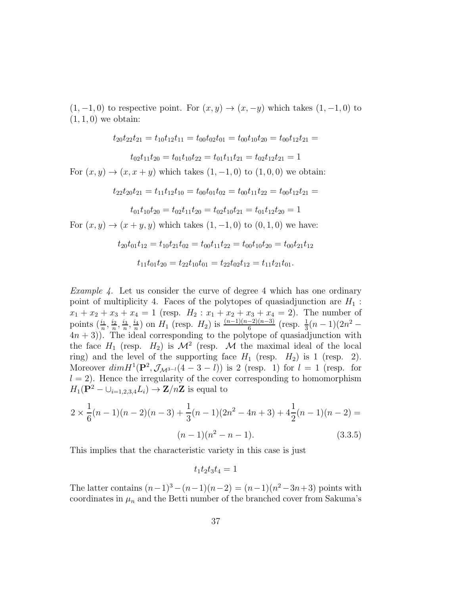$(1, -1, 0)$  to respective point. For  $(x, y) \rightarrow (x, -y)$  which takes  $(1, -1, 0)$  to  $(1, 1, 0)$  we obtain:

$$
t_{20}t_{22}t_{21} = t_{10}t_{12}t_{11} = t_{00}t_{02}t_{01} = t_{00}t_{10}t_{20} = t_{00}t_{12}t_{21} =
$$

$$
t_{02}t_{11}t_{20} = t_{01}t_{10}t_{22} = t_{01}t_{11}t_{21} = t_{02}t_{12}t_{21} = 1
$$
  
For  $(x, y) \rightarrow (x, x + y)$  which takes  $(1, -1, 0)$  to  $(1, 0, 0)$  we obtain:  

$$
t_{22}t_{20}t_{21} = t_{11}t_{12}t_{10} = t_{00}t_{01}t_{02} = t_{00}t_{11}t_{22} = t_{00}t_{12}t_{21} =
$$

$$
t_{01}t_{10}t_{20} = t_{02}t_{11}t_{20} = t_{02}t_{10}t_{21} = t_{01}t_{12}t_{20} = 1
$$

For  $(x, y)$  →  $(x + y, y)$  which takes  $(1, -1, 0)$  to  $(0, 1, 0)$  we have:

$$
t_{20}t_{01}t_{12} = t_{10}t_{21}t_{02} = t_{00}t_{11}t_{22} = t_{00}t_{10}t_{20} = t_{00}t_{21}t_{12}
$$

$$
t_{11}t_{01}t_{20} = t_{22}t_{10}t_{01} = t_{22}t_{02}t_{12} = t_{11}t_{21}t_{01}.
$$

Example 4. Let us consider the curve of degree 4 which has one ordinary point of multiplicity 4. Faces of the polytopes of quasiadjunction are  $H_1$ :  $x_1 + x_2 + x_3 + x_4 = 1$  (resp.  $H_2 : x_1 + x_2 + x_3 + x_4 = 2$ ). The number of points  $\left(\frac{i_1}{n},\frac{i_2}{n}\right)$  $\frac{i_2}{n}, \frac{i_3}{n}$  $\frac{i_3}{n},\frac{i_4}{n}$  $\frac{i_4}{n}$ ) on  $H_1$  (resp.  $H_2$ ) is  $\frac{(n-1)(n-2)(n-3)}{6}$  (resp.  $\frac{1}{3}(n-1)(2n^2-1)$  $(4n + 3)$ . The ideal corresponding to the polytope of quasiadjunction with the face  $H_1$  (resp.  $H_2$ ) is  $\mathcal{M}^2$  (resp.  $\mathcal M$  the maximal ideal of the local ring) and the level of the supporting face  $H_1$  (resp.  $H_2$ ) is 1 (resp. 2). Moreover  $dim H^1(\mathbf{P}^2, \mathcal{J}_{\mathcal{M}^{3-l}}(4-3-l))$  is 2 (resp. 1) for  $l=1$  (resp. for  $l = 2$ ). Hence the irregularity of the cover corresponding to homomorphism  $H_1(\mathbf{P}^2 - \cup_{i=1,2,3,4} L_i) \rightarrow \mathbf{Z}/n\mathbf{Z}$  is equal to

$$
2 \times \frac{1}{6}(n-1)(n-2)(n-3) + \frac{1}{3}(n-1)(2n^2 - 4n + 3) + 4\frac{1}{2}(n-1)(n-2) =
$$
  
(n-1)(n<sup>2</sup> - n - 1). (3.3.5)

This implies that the characteristic variety in this case is just

$$
t_1t_2t_3t_4=1
$$

The latter contains  $(n-1)^3 - (n-1)(n-2) = (n-1)(n^2 - 3n + 3)$  points with coordinates in  $\mu_n$  and the Betti number of the branched cover from Sakuma's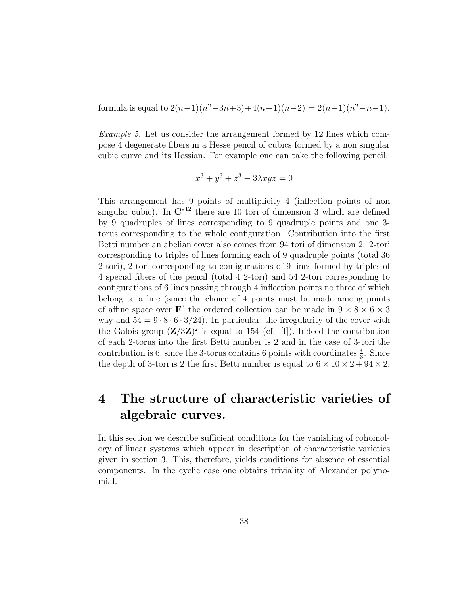formula is equal to  $2(n-1)(n^2-3n+3)+4(n-1)(n-2) = 2(n-1)(n^2-n-1)$ .

Example 5. Let us consider the arrangement formed by 12 lines which compose 4 degenerate fibers in a Hesse pencil of cubics formed by a non singular cubic curve and its Hessian. For example one can take the following pencil:

$$
x^3 + y^3 + z^3 - 3\lambda xyz = 0
$$

This arrangement has 9 points of multiplicity 4 (inflection points of non singular cubic). In  $\mathbb{C}^{*12}$  there are 10 tori of dimension 3 which are defined by 9 quadruples of lines corresponding to 9 quadruple points and one 3 torus corresponding to the whole configuration. Contribution into the first Betti number an abelian cover also comes from 94 tori of dimension 2: 2-tori corresponding to triples of lines forming each of 9 quadruple points (total 36 2-tori), 2-tori corresponding to configurations of 9 lines formed by triples of 4 special fibers of the pencil (total 4 2-tori) and 54 2-tori corresponding to configurations of 6 lines passing through 4 inflection points no three of which belong to a line (since the choice of 4 points must be made among points of affine space over  $\mathbf{F}^3$  the ordered collection can be made in  $9 \times 8 \times 6 \times 3$ way and  $54 = 9 \cdot 8 \cdot 6 \cdot 3/24$ . In particular, the irregularity of the cover with the Galois group  $(\mathbf{Z}/3\mathbf{Z})^2$  is equal to 154 (cf. [I]). Indeed the contribution of each 2-torus into the first Betti number is 2 and in the case of 3-tori the contribution is 6, since the 3-torus contains 6 points with coordinates  $\frac{i}{3}$ . Since the depth of 3-tori is 2 the first Betti number is equal to  $6 \times 10 \times 2 + 94 \times 2$ .

# 4 The structure of characteristic varieties of algebraic curves.

In this section we describe sufficient conditions for the vanishing of cohomology of linear systems which appear in description of characteristic varieties given in section 3. This, therefore, yields conditions for absence of essential components. In the cyclic case one obtains triviality of Alexander polynomial.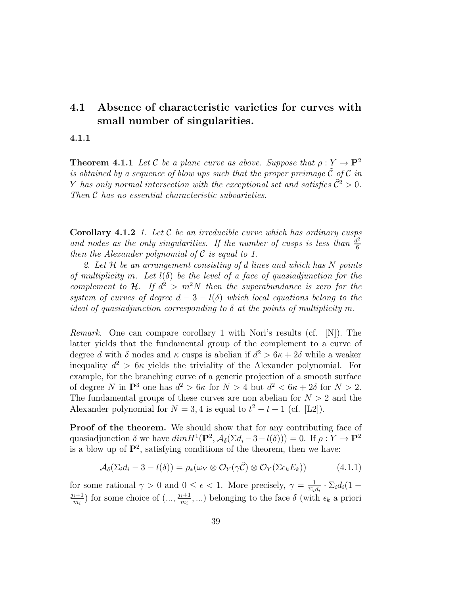# 4.1 Absence of characteristic varieties for curves with small number of singularities.

4.1.1

**Theorem 4.1.1** Let C be a plane curve as above. Suppose that  $\rho: Y \to \mathbf{P}^2$ is obtained by a sequence of blow ups such that the proper preimage  $\tilde{\mathcal{C}}$  of  $\mathcal{C}$  in Y has only normal intersection with the exceptional set and satisfies  $\tilde{\mathcal{C}}^2 > 0$ . Then C has no essential characteristic subvarieties.

Corollary 4.1.2 1. Let  $C$  be an irreducible curve which has ordinary cusps and nodes as the only singularities. If the number of cusps is less than  $\frac{d^2}{6}$ 6 then the Alexander polynomial of  $\mathcal C$  is equal to 1.

2. Let  $\mathcal H$  be an arrangement consisting of d lines and which has N points of multiplicity m. Let  $l(\delta)$  be the level of a face of quasiadjunction for the complement to H. If  $d^2 > m^2N$  then the superabundance is zero for the system of curves of degree  $d - 3 - l(\delta)$  which local equations belong to the ideal of quasiadjunction corresponding to  $\delta$  at the points of multiplicity m.

Remark. One can compare corollary 1 with Nori's results (cf. [N]). The latter yields that the fundamental group of the complement to a curve of degree d with  $\delta$  nodes and  $\kappa$  cusps is abelian if  $d^2 > 6\kappa + 2\delta$  while a weaker inequality  $d^2 > 6\kappa$  yields the triviality of the Alexander polynomial. For example, for the branching curve of a generic projection of a smooth surface of degree N in  $\mathbf{P}^3$  one has  $d^2 > 6\kappa$  for  $N > 4$  but  $d^2 < 6\kappa + 2\delta$  for  $N > 2$ . The fundamental groups of these curves are non abelian for  $N > 2$  and the Alexander polynomial for  $N = 3, 4$  is equal to  $t^2 - t + 1$  (cf. [L2]).

Proof of the theorem. We should show that for any contributing face of quasiadjunction  $\delta$  we have  $dim H^1(\mathbf{P}^2, \mathcal{A}_{\delta}(\Sigma d_i - 3 - l(\delta))) = 0$ . If  $\rho: Y \to \mathbf{P}^2$ is a blow up of  $\mathbf{P}^2$ , satisfying conditions of the theorem, then we have:

$$
\mathcal{A}_{\delta}(\Sigma_i d_i - 3 - l(\delta)) = \rho_*(\omega_Y \otimes \mathcal{O}_Y(\gamma \tilde{\mathcal{C}}) \otimes \mathcal{O}_Y(\Sigma \epsilon_k E_k))
$$
(4.1.1)

for some rational  $\gamma > 0$  and  $0 \leq \epsilon < 1$ . More precisely,  $\gamma = \frac{1}{\Sigma_{i\ell}}$  $\frac{1}{\Sigma_i d_i} \cdot \Sigma_i d_i (1$  $j_i+1$  $\frac{i+1}{m_i}$ ) for some choice of  $\left( \ldots, \frac{j_i+1}{m_i} \right)$  $\binom{i+1}{m_i}$ ,...) belonging to the face  $\delta$  (with  $\epsilon_k$  a priori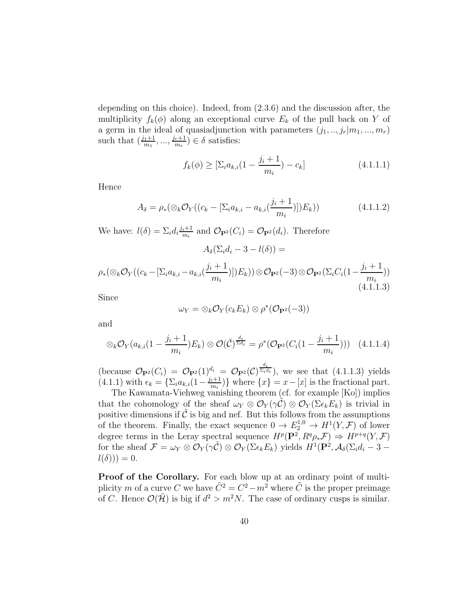depending on this choice). Indeed, from (2.3.6) and the discussion after, the multiplicity  $f_k(\phi)$  along an exceptional curve  $E_k$  of the pull back on Y of a germ in the ideal of quasiadjunction with parameters  $(j_1, ..., j_r|m_1, ..., m_r)$ such that  $(\frac{j_1+1}{m_1}, ..., \frac{j_r+1}{m_r})$  $\frac{r+1}{m_r}$ )  $\in \delta$  satisfies:

$$
f_k(\phi) \geq [\Sigma_i a_{k,i}(1 - \frac{j_i + 1}{m_i}) - c_k]
$$
\n(4.1.1.1)

Hence

$$
A_{\delta} = \rho_{*}(\otimes_{k} \mathcal{O}_{Y}((c_{k} - [\Sigma_{i} a_{k,i} - a_{k,i}(\frac{j_{i}+1}{m_{i}})])E_{k}))
$$
\n(4.1.1.2)

We have:  $l(\delta) = \sum_i d_i \frac{j_i+1}{m_i}$  $\frac{i+1}{m_i}$  and  $\mathcal{O}_{\mathbf{P}^2}(C_i) = \mathcal{O}_{\mathbf{P}^2}(d_i)$ . Therefore

$$
\rho_*(\otimes_k \mathcal{O}_Y((c_k - [\Sigma_i a_{k,i} - a_{k,i}(\frac{j_i + 1}{m_i})])E_k)) \otimes \mathcal{O}_{\mathbf{P}^2}(-3) \otimes \mathcal{O}_{\mathbf{P}^2}(\Sigma_i C_i(1 - \frac{j_i + 1}{m_i}))
$$
\n(4.1.1.3)

 $A_{\delta}(\Sigma_i d_i - 3 - l(\delta)) =$ 

Since

$$
\omega_Y = \otimes_k \mathcal{O}_Y(c_k E_k) \otimes \rho^*(\mathcal{O}_{\mathbf{P}^2}(-3))
$$

and

$$
\otimes_k \mathcal{O}_Y(a_{k,i}(1-\frac{j_i+1}{m_i})E_k) \otimes \mathcal{O}(\tilde{\mathcal{C}})^{\frac{d_i}{\Sigma d_i}} = \rho^*(\mathcal{O}_{\mathbf{P}^2}(C_i(1-\frac{j_i+1}{m_i}))) \quad (4.1.1.4)
$$

(because  $\mathcal{O}_{\mathbf{P}^2}(C_i) = \mathcal{O}_{\mathbf{P}^2}(1)^{d_i} = \mathcal{O}_{\mathbf{P}^2}(\mathcal{C})^{\frac{d_i}{\Sigma_i d_i}}$ ), we see that (4.1.1.3) yields  $(4.1.1)$  with  $\epsilon_k = {\sum_i a_{k,i}(1 - \frac{j_i+1}{m_i})}$  $\binom{i+1}{m_i}$  where  $\{x\} = x-[x]$  is the fractional part.

The Kawamata-Viehweg vanishing theorem (cf. for example [Ko]) implies that the cohomology of the sheaf  $\omega_Y \otimes \mathcal{O}_Y(\gamma \mathcal{C}) \otimes \mathcal{O}_Y(\Sigma \epsilon_k E_k)$  is trivial in positive dimensions if  $\tilde{\mathcal{C}}$  is big and nef. But this follows from the assumptions of the theorem. Finally, the exact sequence  $0 \to E_2^{1,0} \to H^1(Y,\mathcal{F})$  of lower degree terms in the Leray spectral sequence  $H^p(\mathbf{P}^2, R^q \rho_* \mathcal{F}) \Rightarrow H^{p+q}(Y, \mathcal{F})$ for the sheaf  $\mathcal{F} = \omega_Y \otimes \mathcal{O}_Y(\gamma \tilde{\mathcal{C}}) \otimes \mathcal{O}_Y(\Sigma \epsilon_k E_k)$  yields  $H^1(\mathbf{P}^2, \mathcal{A}_{\delta}(\Sigma_i d_i - 3 - \mathcal{C}_{\delta})).$  $l(\delta))) = 0.$ 

Proof of the Corollary. For each blow up at an ordinary point of multiplicity m of a curve C we have  $\tilde{C}^2 = C^2 - m^2$  where  $\tilde{C}$  is the proper preimage of C. Hence  $\mathcal{O}(\tilde{\mathcal{H}})$  is big if  $d^2 > m^2N$ . The case of ordinary cusps is similar.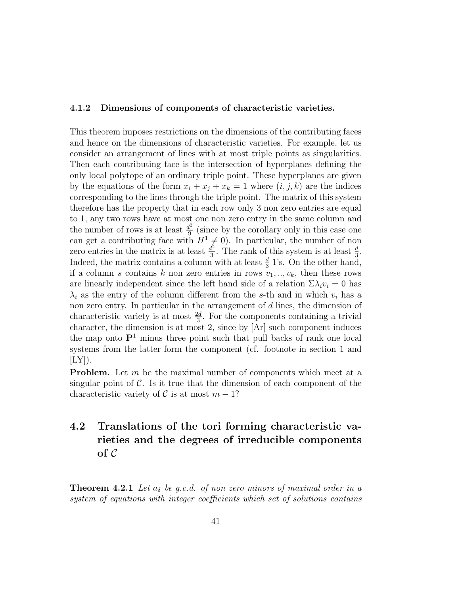#### 4.1.2 Dimensions of components of characteristic varieties.

This theorem imposes restrictions on the dimensions of the contributing faces and hence on the dimensions of characteristic varieties. For example, let us consider an arrangement of lines with at most triple points as singularities. Then each contributing face is the intersection of hyperplanes defining the only local polytope of an ordinary triple point. These hyperplanes are given by the equations of the form  $x_i + x_j + x_k = 1$  where  $(i, j, k)$  are the indices corresponding to the lines through the triple point. The matrix of this system therefore has the property that in each row only 3 non zero entries are equal to 1, any two rows have at most one non zero entry in the same column and the number of rows is at least  $\frac{d^2}{9}$  (since by the corollary only in this case one can get a contributing face with  $H^1 \neq 0$ . In particular, the number of non zero entries in the matrix is at least  $\frac{d^2}{3}$  $\frac{d^2}{3}$ . The rank of this system is at least  $\frac{d}{3}$ . Indeed, the matrix contains a column with at least  $\frac{d}{3}$  1's. On the other hand, if a column s contains k non zero entries in rows  $v_1, \ldots, v_k$ , then these rows are linearly independent since the left hand side of a relation  $\Sigma \lambda_i v_i = 0$  has  $\lambda_i$  as the entry of the column different from the s-th and in which  $v_i$  has a non zero entry. In particular in the arrangement of d lines, the dimension of characteristic variety is at most  $\frac{2d}{3}$ . For the components containing a trivial character, the dimension is at most 2, since by [Ar] such component induces the map onto  $\mathbf{P}^1$  minus three point such that pull backs of rank one local systems from the latter form the component (cf. footnote in section 1 and  $|LY|$ ).

Problem. Let m be the maximal number of components which meet at a singular point of  $\mathcal C$ . Is it true that the dimension of each component of the characteristic variety of C is at most  $m-1$ ?

# 4.2 Translations of the tori forming characteristic varieties and the degrees of irreducible components of C

**Theorem 4.2.1** Let  $a_{\delta}$  be g.c.d. of non zero minors of maximal order in a system of equations with integer coefficients which set of solutions contains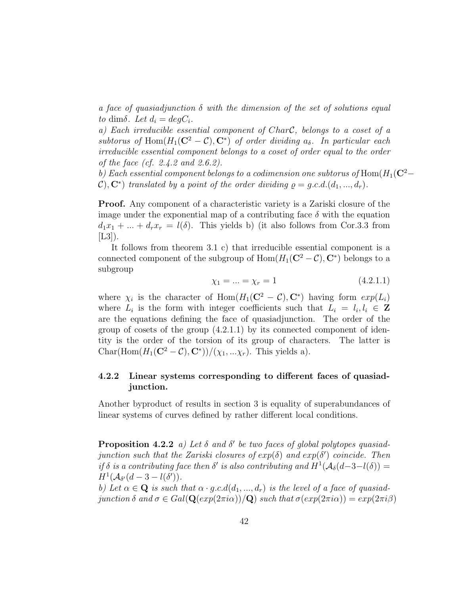a face of quasiadjunction  $\delta$  with the dimension of the set of solutions equal to dim $\delta$ . Let  $d_i = degC_i$ .

a) Each irreducible essential component of CharC, belongs to a coset of a subtorus of Hom $(H_1(\mathbf{C}^2 - \mathcal{C}), \mathbf{C}^*)$  of order dividing  $a_{\delta}$ . In particular each irreducible essential component belongs to a coset of order equal to the order of the face (cf. 2.4.2 and 2.6.2).

b) Each essential component belongs to a codimension one subtorus of Hom $(H_1(C^2-))$  $(C)$ ,  $C^*$ ) translated by a point of the order dividing  $\rho = g.c.d.(d_1, ..., d_r)$ .

Proof. Any component of a characteristic variety is a Zariski closure of the image under the exponential map of a contributing face  $\delta$  with the equation  $d_1x_1 + ... + d_rx_r = l(\delta)$ . This yields b) (it also follows from Cor.3.3 from  $[L3]$ .

It follows from theorem 3.1 c) that irreducible essential component is a connected component of the subgroup of  $\text{Hom}(H_1(\mathbf{C}^2 - \mathcal{C}), \mathbf{C}^*)$  belongs to a subgroup

$$
\chi_1 = \dots = \chi_r = 1 \tag{4.2.1.1}
$$

where  $\chi_i$  is the character of  $\text{Hom}(H_1(\mathbf{C}^2 - \mathcal{C}), \mathbf{C}^*)$  having form  $exp(L_i)$ where  $L_i$  is the form with integer coefficients such that  $L_i = l_i, l_i \in \mathbf{Z}$ are the equations defining the face of quasiadjunction. The order of the group of cosets of the group  $(4.2.1.1)$  by its connected component of identity is the order of the torsion of its group of characters. The latter is Char(Hom $(H_1(\mathbf{C}^2 - C), \mathbf{C}^*)/(\chi_1, \ldots \chi_r)$ . This yields a).

# 4.2.2 Linear systems corresponding to different faces of quasiadjunction.

Another byproduct of results in section 3 is equality of superabundances of linear systems of curves defined by rather different local conditions.

**Proposition 4.2.2** a) Let  $\delta$  and  $\delta'$  be two faces of global polytopes quasiadjunction such that the Zariski closures of  $exp(\delta)$  and  $exp(\delta')$  coincide. Then if  $\delta$  is a contributing face then  $\delta'$  is also contributing and  $H^1(\mathcal{A}_{\delta}(d-3-l(\delta)))$  $H^1(\mathcal{A}_{\delta'}(d-3-l(\delta')).$ 

b) Let  $\alpha \in \mathbf{Q}$  is such that  $\alpha \cdot q.c.d(d_1, ..., d_r)$  is the level of a face of quasiadjunction  $\delta$  and  $\sigma \in Gal(\mathbf{Q}(exp(2\pi i\alpha))/\mathbf{Q})$  such that  $\sigma(exp(2\pi i\alpha)) = exp(2\pi i\beta)$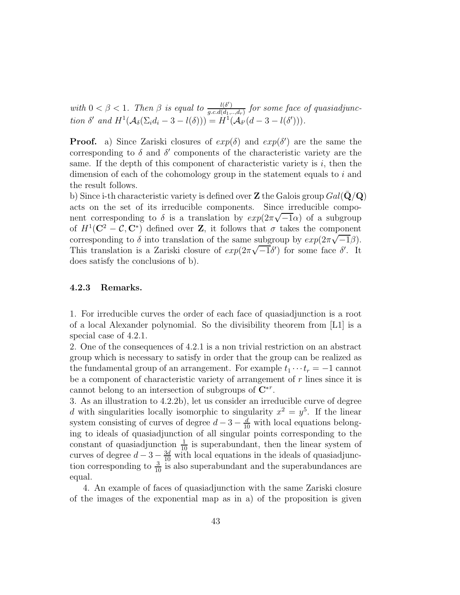with  $0 < \beta < 1$ . Then  $\beta$  is equal to  $\frac{l(\delta')}{q \in d(d)}$  $\frac{l(\delta')}{g.c.d(d_1,..,d_r)}$  for some face of quasiadjunction  $\delta'$  and  $H^1(\mathcal{A}_{\delta}(\Sigma_i d_i - 3 - l(\delta))) = H^1(\mathcal{A}_{\delta'}(d - 3 - l(\delta'))).$ 

**Proof.** a) Since Zariski closures of  $exp(\delta)$  and  $exp(\delta')$  are the same the corresponding to  $\delta$  and  $\delta'$  components of the characteristic variety are the same. If the depth of this component of characteristic variety is  $i$ , then the dimension of each of the cohomology group in the statement equals to i and the result follows.

b) Since i-th characteristic variety is defined over **Z** the Galois group  $Gal(\mathbf{Q}/\mathbf{Q})$ acts on the set of its irreducible components. Since irreducible component corresponding to  $\delta$  is a translation by  $exp(2\pi\sqrt{-1}\alpha)$  of a subgroup of  $H^1(\mathbf{C}^2-\mathcal{C}, \mathbf{C}^*)$  defined over **Z**, it follows that  $\sigma$  takes the component corresponding to  $\delta$  into translation of the same subgroup by  $exp(2\pi\sqrt{-1}\beta)$ . This translation is a Zariski closure of  $exp(2\pi\sqrt{-1}\delta')$  for some face  $\delta'$ . It does satisfy the conclusions of b).

#### 4.2.3 Remarks.

1. For irreducible curves the order of each face of quasiadjunction is a root of a local Alexander polynomial. So the divisibility theorem from [L1] is a special case of 4.2.1.

2. One of the consequences of 4.2.1 is a non trivial restriction on an abstract group which is necessary to satisfy in order that the group can be realized as the fundamental group of an arrangement. For example  $t_1 \cdots t_r = -1$  cannot be a component of characteristic variety of arrangement of r lines since it is cannot belong to an intersection of subgroups of  $\mathbb{C}^{*r}$ .

3. As an illustration to 4.2.2b), let us consider an irreducible curve of degree d with singularities locally isomorphic to singularity  $x^2 = y^5$ . If the linear system consisting of curves of degree  $d-3-\frac{d}{10}$  with local equations belonging to ideals of quasiadjunction of all singular points corresponding to the constant of quasiadjunction  $\frac{1}{10}$  is superabundant, then the linear system of curves of degree  $d-3-\frac{3d}{10}$  with local equations in the ideals of quasiadjunction corresponding to  $\frac{3}{10}$  is also superabundant and the superabundances are equal.

4. An example of faces of quasiadjunction with the same Zariski closure of the images of the exponential map as in a) of the proposition is given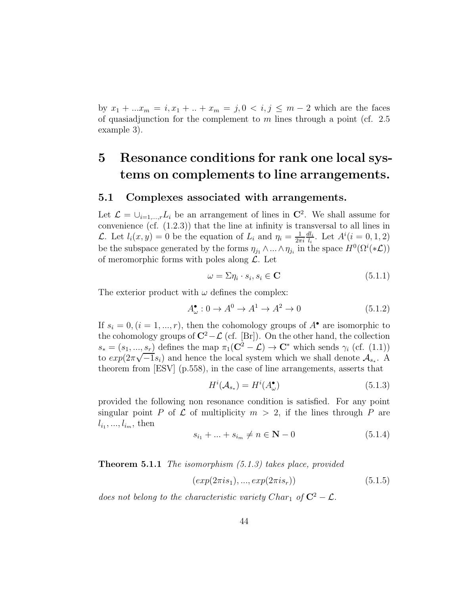by  $x_1 + ... x_m = i, x_1 + ... + x_m = j, 0 \le i, j \le m - 2$  which are the faces of quasiadjunction for the complement to m lines through a point (cf. 2.5) example 3).

# 5 Resonance conditions for rank one local systems on complements to line arrangements.

# 5.1 Complexes associated with arrangements.

Let  $\mathcal{L} = \bigcup_{i=1,\dots,r} L_i$  be an arrangement of lines in  $\mathbb{C}^2$ . We shall assume for convenience (cf. (1.2.3)) that the line at infinity is transversal to all lines in L. Let  $l_i(x, y) = 0$  be the equation of  $L_i$  and  $\eta_i = \frac{1}{2\pi}$  $2\pi i$  $dl_i$  $\frac{dl_i}{l_i}$ . Let  $A^i(i=0,1,2)$ be the subspace generated by the forms  $\eta_{j_1} \wedge ... \wedge \eta_{j_i}$  in the space  $H^0(\Omega^i(*\mathcal{L}))$ of meromorphic forms with poles along  $\mathcal{L}$ . Let

$$
\omega = \Sigma \eta_i \cdot s_i, s_i \in \mathbf{C} \tag{5.1.1}
$$

The exterior product with  $\omega$  defines the complex:

$$
A^{\bullet}_{\omega}: 0 \to A^0 \to A^1 \to A^2 \to 0 \tag{5.1.2}
$$

If  $s_i = 0$ ,  $(i = 1, ..., r)$ , then the cohomology groups of  $A^{\bullet}$  are isomorphic to the cohomology groups of  $\mathbb{C}^2-\mathcal{L}$  (cf. [Br]). On the other hand, the collection  $s_* = (s_1, ..., s_r)$  defines the map  $\pi_1(\mathbb{C}^2 - \mathcal{L}) \to \mathbb{C}^*$  which sends  $\gamma_i$  (cf. (1.1)) to  $exp(2\pi\sqrt{-1}s_i)$  and hence the local system which we shall denote  $\mathcal{A}_{s_*}$ . A theorem from [ESV] (p.558), in the case of line arrangements, asserts that

$$
H^{i}(\mathcal{A}_{s_*}) = H^{i}(A^{\bullet}_{\omega})
$$
\n(5.1.3)

provided the following non resonance condition is satisfied. For any point singular point P of  $\mathcal L$  of multiplicity  $m > 2$ , if the lines through P are  $l_{i_1}, ..., l_{i_m}$ , then

$$
s_{i_1} + \dots + s_{i_m} \neq n \in \mathbf{N} - 0 \tag{5.1.4}
$$

**Theorem 5.1.1** The isomorphism (5.1.3) takes place, provided

$$
(exp(2\pi i s_1), ..., exp(2\pi i s_r))
$$
\n(5.1.5)

does not belong to the characteristic variety Char<sub>1</sub> of  $\mathbb{C}^2 - \mathcal{L}$ .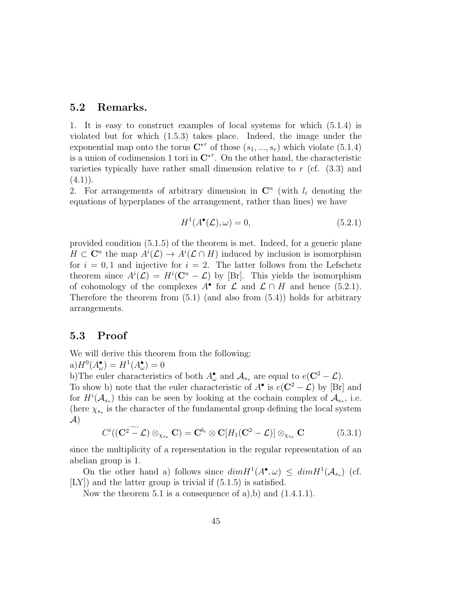### 5.2 Remarks.

1. It is easy to construct examples of local systems for which (5.1.4) is violated but for which (1.5.3) takes place. Indeed, the image under the exponential map onto the torus  $\mathbb{C}^{*r}$  of those  $(s_1, ..., s_r)$  which violate  $(5.1.4)$ is a union of codimension 1 tori in  $\mathbb{C}^{*r}$ . On the other hand, the characteristic varieties typically have rather small dimension relative to  $r$  (cf.  $(3.3)$ ) and  $(4.1)$ .

2. For arrangements of arbitrary dimension in  $\mathbb{C}^n$  (with  $l_i$  denoting the equations of hyperplanes of the arrangement, rather than lines) we have

$$
H^1(A^\bullet(\mathcal{L}), \omega) = 0,\tag{5.2.1}
$$

provided condition (5.1.5) of the theorem is met. Indeed, for a generic plane  $H \subset \mathbb{C}^n$  the map  $A^i(\mathcal{L}) \to A^i(\mathcal{L} \cap H)$  induced by inclusion is isomorphism for  $i = 0, 1$  and injective for  $i = 2$ . The latter follows from the Lefschetz theorem since  $A^i(\mathcal{L}) = H^i(\mathbb{C}^n - \mathcal{L})$  by [Br]. This yields the isomorphism of cohomology of the complexes  $A^{\bullet}$  for  $\mathcal L$  and  $\mathcal L \cap H$  and hence (5.2.1). Therefore the theorem from  $(5.1)$  (and also from  $(5.4)$ ) holds for arbitrary arrangements.

# 5.3 Proof

We will derive this theorem from the following:

 $a)H^0(A^{\bullet}_{\omega})=H^1(A^{\bullet}_{\omega})=0$ 

b)The euler characteristics of both  $A^{\bullet}_{\omega}$  and  $A_{s_{*}}$  are equal to  $e(\mathbf{C}^{2}-\mathcal{L})$ . To show b) note that the euler characteristic of  $A^{\bullet}$  is  $e(C^2 - \mathcal{L})$  by [Br] and for  $H^{i}(\mathcal{A}_{s*})$  this can be seen by looking at the cochain complex of  $\mathcal{A}_{s*}$ , i.e. (here  $\chi_{s_*}$  is the character of the fundamental group defining the local system A)

$$
C^{i}((\mathbf{C}^{2}-\mathcal{L})\otimes_{\chi_{s*}}\mathbf{C})=\mathbf{C}^{b_{i}}\otimes\mathbf{C}[H_{1}(\mathbf{C}^{2}-\mathcal{L})]\otimes_{\chi_{s*}}\mathbf{C}
$$
(5.3.1)

since the multiplicity of a representation in the regular representation of an abelian group is 1.

On the other hand a) follows since  $dim H^1(A^{\bullet}, \omega) \leq dim H^1(\mathcal{A}_{s_*})$  (cf. [LY]) and the latter group is trivial if (5.1.5) is satisfied.

Now the theorem 5.1 is a consequence of a), b) and  $(1.4.1.1)$ .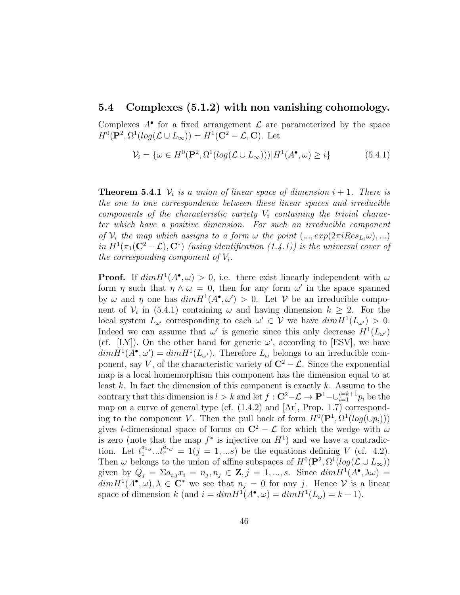### 5.4 Complexes (5.1.2) with non vanishing cohomology.

Complexes  $A^{\bullet}$  for a fixed arrangement  $\mathcal{L}$  are parameterized by the space  $H^0(\mathbf{P}^2, \Omega^1(log(\mathcal{L} \cup L_\infty))) = H^1(\mathbf{C}^2 - \mathcal{L}, \mathbf{C})$ . Let

$$
\mathcal{V}_i = \{ \omega \in H^0(\mathbf{P}^2, \Omega^1(log(\mathcal{L} \cup L_{\infty}))) | H^1(A^{\bullet}, \omega) \ge i \}
$$
(5.4.1)

**Theorem 5.4.1**  $V_i$  is a union of linear space of dimension  $i + 1$ . There is the one to one correspondence between these linear spaces and irreducible components of the characteristic variety  $V_i$  containing the trivial character which have a positive dimension. For such an irreducible component of  $\mathcal{V}_i$  the map which assigns to a form  $\omega$  the point  $(..., exp(2\pi i Res_{L_i}\omega), ...)$ in  $H^1(\pi_1({\bf C}^2-{\cal L}),{\bf C}^*)$  (using identification  $(1.4.1)$ ) is the universal cover of the corresponding component of  $V_i$ .

**Proof.** If  $dim H^1(A^{\bullet}, \omega) > 0$ , i.e. there exist linearly independent with  $\omega$ form  $\eta$  such that  $\eta \wedge \omega = 0$ , then for any form  $\omega'$  in the space spanned by  $\omega$  and  $\eta$  one has  $dim H^1(A^{\bullet}, \omega') > 0$ . Let  $\mathcal V$  be an irreducible component of  $V_i$  in (5.4.1) containing  $\omega$  and having dimension  $k \geq 2$ . For the local system  $L_{\omega'}$  corresponding to each  $\omega' \in \mathcal{V}$  we have  $dim H^1(L_{\omega'}) > 0$ . Indeed we can assume that  $\omega'$  is generic since this only decrease  $H^1(L_{\omega'})$ (cf. [LY]). On the other hand for generic  $\omega'$ , according to [ESV], we have  $dim H^{1}(A^{\bullet}, \omega') = dim H^{1}(L_{\omega'})$ . Therefore  $L_{\omega}$  belongs to an irreducible component, say V, of the characteristic variety of  $\mathbb{C}^2 - \mathcal{L}$ . Since the exponential map is a local homemorphism this component has the dimension equal to at least k. In fact the dimension of this component is exactly k. Assume to the contrary that this dimension is  $l > k$  and let  $f: \mathbb{C}^2 \to \mathbb{P}^1 - \cup_{i=1}^{i=k+1} p_i$  be the map on a curve of general type (cf. (1.4.2) and [Ar], Prop. 1.7) corresponding to the component V. Then the pull back of form  $H^0(\mathbf{P}^1, \Omega^1(log(\cup p_i)))$ gives l-dimensional space of forms on  $\mathbb{C}^2 - \mathcal{L}$  for which the wedge with  $\omega$ is zero (note that the map  $f^*$  is injective on  $H^1$ ) and we have a contradiction. Let  $t_1^{a_{1,j}}$  $t_1^{a_{1,j}}...t_r^{a_{r,j}} = 1(j = 1,...s)$  be the equations defining V (cf. 4.2). Then  $\omega$  belongs to the union of affine subspaces of  $H^0(\mathbf{P}^2, \Omega^1(log(\mathcal{L} \cup L_{\infty}))$ given by  $Q_j = \sum a_{i,j} x_i = n_j, n_j \in \mathbb{Z}, j = 1, ..., s$ . Since  $dim H^1(A^{\bullet}, \lambda \omega) =$  $dim H^1(A^{\bullet}, \omega), \lambda \in \mathbf{C}^*$  we see that  $n_j = 0$  for any j. Hence V is a linear space of dimension k (and  $i = dim H^1(A^{\bullet}, \omega) = dim H^1(L_{\omega}) = k - 1$ ).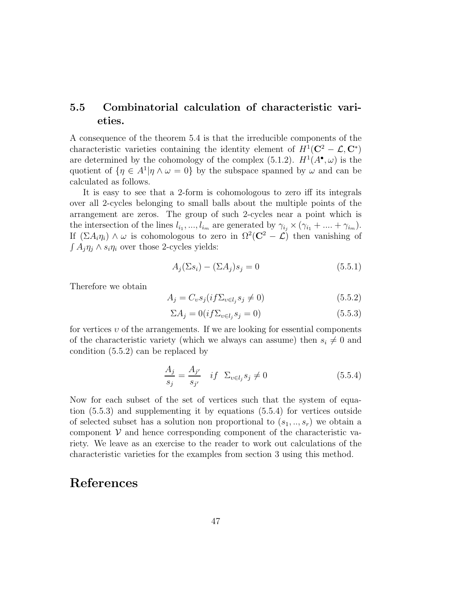# 5.5 Combinatorial calculation of characteristic varieties.

A consequence of the theorem 5.4 is that the irreducible components of the characteristic varieties containing the identity element of  $H^1(\mathbf{C}^2 - \mathcal{L}, \mathbf{C}^*)$ are determined by the cohomology of the complex (5.1.2).  $H^1(A^{\bullet}, \omega)$  is the quotient of  $\{\eta \in A^1 | \eta \wedge \omega = 0\}$  by the subspace spanned by  $\omega$  and can be calculated as follows.

It is easy to see that a 2-form is cohomologous to zero iff its integrals over all 2-cycles belonging to small balls about the multiple points of the arrangement are zeros. The group of such 2-cycles near a point which is the intersection of the lines  $l_{i_1},...,l_{i_m}$  are generated by  $\gamma_{i_j} \times (\gamma_{i_1} + .... + \gamma_{i_m})$ . If  $(\Sigma A_i \eta_i) \wedge \omega$  is cohomologous to zero in  $\Omega^2(\mathbf{C}^2 - \mathcal{L})$  then vanishing of  $\int A_j \eta_j \wedge s_i \eta_i$  over those 2-cycles yields:

$$
A_j(\Sigma s_i) - (\Sigma A_j)s_j = 0 \tag{5.5.1}
$$

Therefore we obtain

$$
A_j = C_v s_j (i f \Sigma_{v \in l_j} s_j \neq 0)
$$
\n
$$
(5.5.2)
$$

$$
\Sigma A_j = 0(i f \Sigma_{v \in l_j} s_j = 0)
$$
\n(5.5.3)

for vertices  $v$  of the arrangements. If we are looking for essential components of the characteristic variety (which we always can assume) then  $s_i \neq 0$  and condition (5.5.2) can be replaced by

$$
\frac{A_j}{s_j} = \frac{A_{j'}}{s_{j'}} \quad if \quad \Sigma_{v \in l_j} s_j \neq 0 \tag{5.5.4}
$$

Now for each subset of the set of vertices such that the system of equation (5.5.3) and supplementing it by equations (5.5.4) for vertices outside of selected subset has a solution non proportional to  $(s_1, ..., s_r)$  we obtain a component  $V$  and hence corresponding component of the characteristic variety. We leave as an exercise to the reader to work out calculations of the characteristic varieties for the examples from section 3 using this method.

# References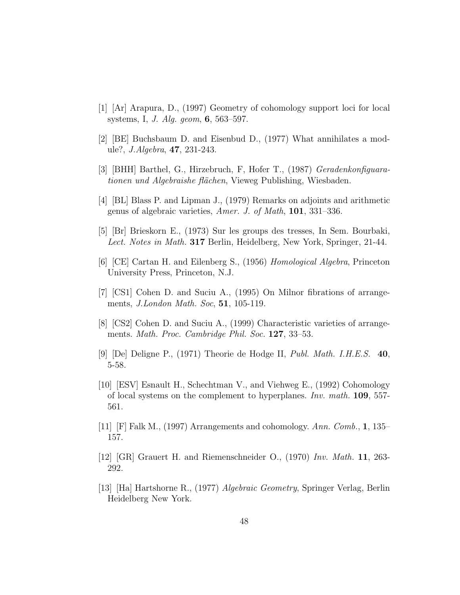- [1] [Ar] Arapura, D., (1997) Geometry of cohomology support loci for local systems, I, J. Alg. geom, 6, 563–597.
- [2] [BE] Buchsbaum D. and Eisenbud D., (1977) What annihilates a module?, J.Algebra, 47, 231-243.
- [3] [BHH] Barthel, G., Hirzebruch, F, Hofer T., (1987) Geradenkonfiguarationen und Algebraishe flächen, Vieweg Publishing, Wiesbaden.
- [4] [BL] Blass P. and Lipman J., (1979) Remarks on adjoints and arithmetic genus of algebraic varieties, Amer. J. of Math, 101, 331–336.
- [5] [Br] Brieskorn E., (1973) Sur les groups des tresses, In Sem. Bourbaki, Lect. Notes in Math. 317 Berlin, Heidelberg, New York, Springer, 21-44.
- [6] [CE] Cartan H. and Eilenberg S., (1956) Homological Algebra, Princeton University Press, Princeton, N.J.
- [7] [CS1] Cohen D. and Suciu A., (1995) On Milnor fibrations of arrangements, *J.London Math. Soc*, **51**, 105-119.
- [8] [CS2] Cohen D. and Suciu A., (1999) Characteristic varieties of arrangements. Math. Proc. Cambridge Phil. Soc. 127, 33–53.
- [9] [De] Deligne P., (1971) Theorie de Hodge II, Publ. Math. I.H.E.S. 40, 5-58.
- [10] [ESV] Esnault H., Schechtman V., and Viehweg E., (1992) Cohomology of local systems on the complement to hyperplanes. Inv. math. 109, 557- 561.
- [11] [F] Falk M., (1997) Arrangements and cohomology. Ann. Comb., 1, 135– 157.
- [12] [GR] Grauert H. and Riemenschneider O., (1970) Inv. Math. 11, 263- 292.
- [13] [Ha] Hartshorne R., (1977) Algebraic Geometry, Springer Verlag, Berlin Heidelberg New York.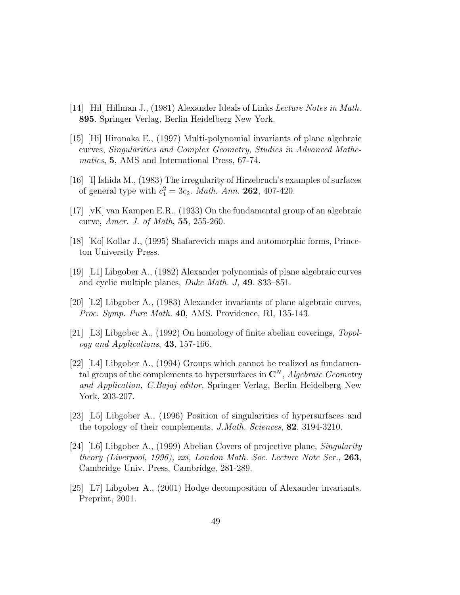- [14] [Hil] Hillman J., (1981) Alexander Ideals of Links Lecture Notes in Math. 895. Springer Verlag, Berlin Heidelberg New York.
- [15] [Hi] Hironaka E., (1997) Multi-polynomial invariants of plane algebraic curves, Singularities and Complex Geometry, Studies in Advanced Mathematics, 5, AMS and International Press, 67-74.
- [16] [I] Ishida M., (1983) The irregularity of Hirzebruch's examples of surfaces of general type with  $c_1^2 = 3c_2$ . *Math. Ann.* **262**, 407-420.
- [17] [vK] van Kampen E.R., (1933) On the fundamental group of an algebraic curve, Amer. J. of Math, 55, 255-260.
- [18] [Ko] Kollar J., (1995) Shafarevich maps and automorphic forms, Princeton University Press.
- [19] [L1] Libgober A., (1982) Alexander polynomials of plane algebraic curves and cyclic multiple planes, Duke Math. J, 49. 833–851.
- [20] [L2] Libgober A., (1983) Alexander invariants of plane algebraic curves, Proc. Symp. Pure Math. 40, AMS. Providence, RI, 135-143.
- [21]  $\lfloor$  L3] Libgober A., (1992) On homology of finite abelian coverings, *Topol*ogy and Applications, 43, 157-166.
- [22] [L4] Libgober A., (1994) Groups which cannot be realized as fundamental groups of the complements to hypersurfaces in  $\mathbb{C}^N$ , Algebraic Geometry and Application, C.Bajaj editor, Springer Verlag, Berlin Heidelberg New York, 203-207.
- [23] [L5] Libgober A., (1996) Position of singularities of hypersurfaces and the topology of their complements, J.Math. Sciences, 82, 3194-3210.
- [24] [L6] Libgober A., (1999) Abelian Covers of projective plane, Singularity theory (Liverpool, 1996), xxi, London Math. Soc. Lecture Note Ser.,  $263$ , Cambridge Univ. Press, Cambridge, 281-289.
- [25] [L7] Libgober A., (2001) Hodge decomposition of Alexander invariants. Preprint, 2001.